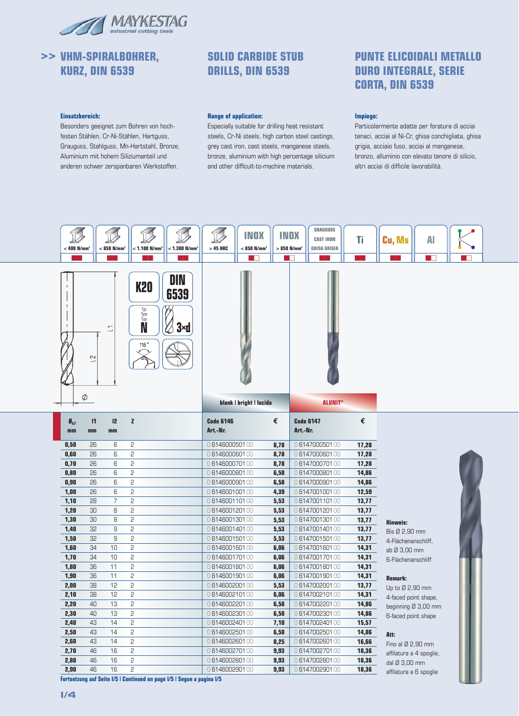

# **>> VHM-SPIRALBOHRER, KURZ, DIN 6539**

### **SOLID CARBIDE STUB DRILLS, DIN 6539**

#### **Einsatzbereich:**

Besonders geeignet zum Bohren von hochfesten Stählen, Cr-Ni-Stählen, Hartguss, Grauguss, Stahlguss, Mn-Hartstahl, Bronze, Aluminium mit hohem Siliziumanteil und anderen schwer zerspanbaren Werkstoffen.

#### **Range of application:**

Especially suitable for drilling heat resistant steels, Cr-Ni steels, high carbon steel castings, grey cast iron, cast steels, manganese steels, bronze, aluminium with high percentage silicium and other difficult-to-machine materials.

### **PUNTE ELICOIDALI METALLO DURO INTEGRALE, SERIE CORTA, DIN 6539**

#### **Impiego:**

Particolarmente adatte per foratura di acciai tenaci, acciai al Ni-Cr, ghisa conchigliata, ghisa grigia, acciaio fuso, acciai al manganese, bronzo, alluminio con elevato tenore di silicio, altri acciai di difficile lavorabilità.

| $<$ 400 N/mm <sup>2</sup> |                    | $< 850$ N/mm <sup>2</sup> | $< 1.100$ N/mm <sup>2</sup>                                | $<$ 1.300 N/mm <sup>2</sup> | $>45$ HRC                      | <b>INOX</b><br>$< 850$ N/mm <sup>2</sup> | <b>INOX</b><br>$>850$ N/mm <sup>2</sup> |                                | <b>GRAUGUSS</b><br><b>CAST IRON</b><br><b>GHISA GRIGIA</b> | Ti<br>-11      | <b>Cu, Ms</b>                           | Al<br>- 11 |  |
|---------------------------|--------------------|---------------------------|------------------------------------------------------------|-----------------------------|--------------------------------|------------------------------------------|-----------------------------------------|--------------------------------|------------------------------------------------------------|----------------|-----------------------------------------|------------|--|
|                           | $\sim$<br>$\phi$   | $\subseteq$               | <b>K20</b><br>Typ<br>Type<br>Tipo<br>N<br>118 <sup>°</sup> | DIN<br>6539<br>$3 \times d$ |                                |                                          |                                         |                                |                                                            |                |                                         |            |  |
|                           |                    |                           |                                                            |                             |                                | blank   bright   lucida                  |                                         |                                | <b>ALUNIT®</b>                                             |                |                                         |            |  |
| $B_{h7}$<br>mm            | $\mathsf{I}$<br>mm | 12<br>mm                  | z                                                          |                             | <b>Code 6146</b><br>Art.-Nr.   |                                          | €                                       | <b>Code 6147</b><br>Art.-Nr.   |                                                            | €              |                                         |            |  |
| 0,50                      | 26                 | 6                         | 2                                                          |                             | 0614600050100                  |                                          | 8,78                                    | 0614700050100                  |                                                            | 17,28          |                                         |            |  |
| 0,60                      | 26                 | 6                         | 2                                                          |                             | 0614600060100                  |                                          | 8,78                                    | 0614700060100                  |                                                            | 17,28          |                                         |            |  |
| 0,70                      | 26                 | 6                         | 2                                                          |                             | 0614600070100                  |                                          | 8,78                                    | 0614700070100                  |                                                            | 17,28          |                                         |            |  |
|                           |                    |                           |                                                            |                             |                                |                                          |                                         |                                |                                                            |                |                                         |            |  |
| 0,80                      | 26                 | 6                         | 2                                                          |                             | 0614600080100                  |                                          | 6,58                                    | 0614700080100                  |                                                            | 14,86          |                                         |            |  |
| 0,90                      | 26                 | 6                         | 2                                                          |                             | 0614600090100                  |                                          | 6,58                                    | 0614700090100                  |                                                            | 14,86          |                                         |            |  |
| 1,00                      | 26                 | 6                         | 2                                                          |                             | 0614600100100                  |                                          | 4,39                                    | 0614700100100                  |                                                            | 12,59          |                                         |            |  |
| 1,10                      | 28                 | $\overline{7}$            | 2                                                          |                             | 0614600110100                  |                                          | 5,53                                    | 0614700110100                  |                                                            | 13,77          |                                         |            |  |
| 1,20                      | 30                 | 8                         | 2                                                          |                             | 0614600120100                  |                                          | 5,53                                    | 0614700120100                  |                                                            | 13,77          |                                         |            |  |
| 1,30                      | 30                 | 8                         | 2                                                          |                             | 0614600130100                  |                                          | 5,53                                    | 0614700130100                  |                                                            | 13,77          | <b>Hinweis:</b>                         |            |  |
| 1,40                      | 32                 | 9                         | 2                                                          |                             | 0614600140100                  |                                          | 5,53                                    | 0614700140100                  |                                                            | 13,77          | Bis Ø 2,90 mm                           |            |  |
| 1,50                      | 32                 | 9                         | 2                                                          |                             | 0614600150100                  |                                          | 5,53                                    | 0614700150100                  |                                                            | 13,77          | 4-Flächenanschliff,                     |            |  |
| 1,60                      | 34                 | 10                        | 2                                                          |                             | 0614600160100                  |                                          | 6,06                                    | 0614700160100                  |                                                            | 14,31          | ab Ø 3,00 mm                            |            |  |
| 1,70                      | 34                 | 10                        | 2                                                          |                             | 0614600170100                  |                                          | 6,06                                    | 0614700170100                  |                                                            | 14,31          | 6-Flächenanschliff                      |            |  |
| 1,80                      | 36                 | 11                        | 2                                                          |                             | 0614600180100                  |                                          | 6,06                                    | 0614700180100                  |                                                            | 14,31          |                                         |            |  |
| 1,90                      | 36                 | 11                        | 2                                                          |                             | 0614600190100                  |                                          | 6,06                                    | 0614700190100                  |                                                            | 14,31          | Remark:                                 |            |  |
| 2,00                      | 38                 | 12                        | 2                                                          |                             | 0614600200100                  |                                          | 5,53                                    | 0614700200100                  |                                                            | 13,77          | Up to Ø 2,90 mm                         |            |  |
| 2,10                      | 38                 | 12                        | 2                                                          |                             | 0614600210100                  |                                          | 6,06                                    | 0614700210100                  |                                                            | 14,31          | 4-faced point shape,                    |            |  |
| 2,20                      | 40                 | 13                        | 2                                                          |                             | 0614600220100                  |                                          | 6,58                                    | 0614700220100                  |                                                            | 14,86          | beginning Ø 3,00 mm                     |            |  |
| 2,30                      | 40                 | 13                        | 2                                                          |                             | 0614600230100                  |                                          | 6,58                                    | 0614700230100                  |                                                            | 14,86          | 6-faced point shape                     |            |  |
| 2,40                      | 43                 | 14                        | 2                                                          |                             | 0614600240100                  |                                          | 7,10                                    | 0614700240100                  |                                                            | 15,57          |                                         |            |  |
| 2,50                      | 43                 | 14                        | $\mathsf{S}$                                               |                             | 0614600250100                  |                                          | 6,58                                    | 0614700250100                  |                                                            | 14,86          | Att:                                    |            |  |
| 2,60                      | 43                 | 14                        | 2                                                          |                             | 0614600260100                  |                                          | 8,25                                    | 0614700260100                  |                                                            | 16,66          | Fino al $Ø$ 2,90 mm                     |            |  |
| 2,70                      | 46                 | 16                        | 2                                                          |                             | 0614600270100                  |                                          | 9,93                                    | 0614700270100                  |                                                            | 18,36          | affilatura a 4 spoglie,                 |            |  |
| 2,80<br>2,90              | 46<br>46           | 16<br>16                  | 2<br>2                                                     |                             | 0614600280100<br>0614600290100 |                                          | 9,93<br>9,93                            | 0614700280100<br>0614700290100 |                                                            | 18,36<br>18,36 | dal Ø 3,00 mm<br>affilatura a 6 spoglie |            |  |

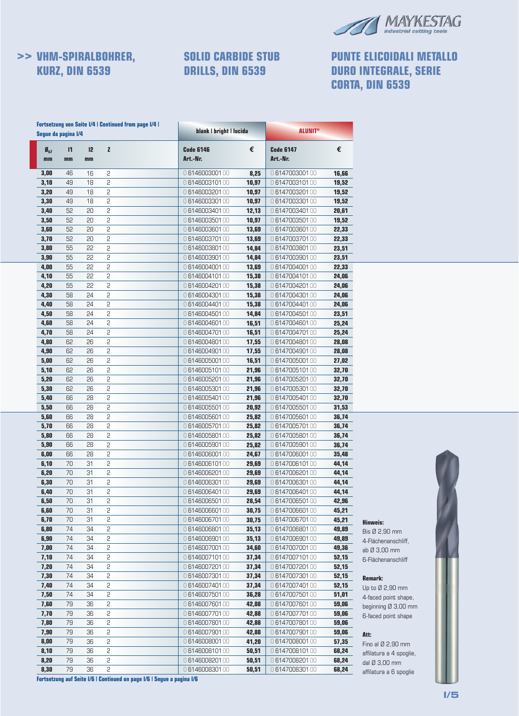

# **>> VHM-SPIRALBOHRER, KURZ, DIN 6539**

# **SOLID CARBIDE STUB DRILLS, DIN 6539**

# **PUNTE ELICOIDALI METALLO DURO INTEGRALE, SERIE CORTA, DIN 6539**

|                                | Segue da pagina I/4 |          | <b>Fortsetzung von Seite I/4   Continued from page I/4  </b> | blank   bright   lucida      |       | <b>ALUNIT®</b>               |       |
|--------------------------------|---------------------|----------|--------------------------------------------------------------|------------------------------|-------|------------------------------|-------|
| $\mathbf{g}_{\text{hZ}}$<br>mm | $\mathsf{I}$<br>mm  | 12<br>mm | $\mathbf{z}$                                                 | <b>Code 6146</b><br>Art.-Nr. | €     | <b>Code 6147</b><br>Art.-Nr. | €     |
| 3,00                           | 46                  | 16       | 2                                                            | 0614600300100                | 8,25  | 0614700300100                | 16,66 |
| 3,10                           | 49                  | 18       | $\overline{c}$                                               | 0614600310100                | 10.97 | 0614700310100                | 19,52 |
| 3,20                           | 49                  | 18       | $\overline{c}$                                               | 0614600320100                | 10,97 | 0614700320100                | 19,52 |
| 3,30                           | 49                  | 18       | 2                                                            | 0614600330100                | 10,97 | 0614700330100                | 19,52 |
| 3,40                           | 52                  | 20       | 2                                                            | 0614600340100                | 12,13 | 0614700340100                | 20,61 |
| 3,50                           | 52                  | 20       | 2                                                            | 0614600350100                | 10,97 | 0614700350100                | 19,52 |
| 3,60                           | 52                  | 20       | $\overline{c}$                                               | 0614600360100                | 13,69 | 0614700360100                | 22,33 |
| 3,70                           | 52                  | 20       | $\overline{c}$                                               | 0614600370100                | 13,69 | 0614700370100                | 22,33 |
| 3,80                           | 55                  | 22       | $\overline{c}$                                               | 0614600380100                | 14,84 | 0614700380100                | 23,51 |
| 3,90                           | 55                  | 55       | 2                                                            | 0614600390100                | 14,84 | 0614700390100                | 23,51 |
| 4,00                           | 55                  | 55       | 2                                                            | 0614600400100                | 13,69 | 0614700400100                | 22,33 |
| 4,10                           | 55                  | 55       | 2                                                            | 0614600410100                | 15,38 | 0614700410100                | 24,06 |
| 4,20                           | 55                  | 22       | $\mathsf{S}$                                                 | 0614600420100                | 15,38 | 0614700420100                | 24,06 |
| 4,30                           | 58                  | 24       | $\mathsf{S}$                                                 | 0614600430100                | 15,38 | 0614700430100                | 24,06 |
| 4,40                           | 58                  | 24       | $\overline{c}$                                               | 0614600440100                | 15,38 | 0614700440100                | 24,06 |
| 4,50                           | 58                  | 24       | 2                                                            | 0614600450100                | 14,84 | 0614700450100                | 23,51 |
| 4,60                           | 58                  | 24       | 2                                                            | 0614600460100                | 16,51 | 0614700460100                | 25,24 |
| 4,70                           | 58                  | 24       | 2                                                            | 0614600470100                | 16,51 | 0614700470100                | 25,24 |
| 4,80                           | 62                  | 26       | $\mathsf{S}$                                                 | 0614600480100                | 17,55 | 0614700480100                | 28,08 |
| 4,90                           | 62                  | 26       | $\mathsf{S}$                                                 | 0614600490100                | 17,55 | 0614700490100                | 28,08 |
| 5,00                           | 62                  | 26       | $\mathsf{S}$                                                 | 0614600500100                | 16,51 | 0614700500100                | 27,02 |
| 5,10                           | 62                  | 26       | 2                                                            | 0614600510100                | 21,96 | 0614700510100                | 32,70 |
| 5,20                           | 62                  | 26       | 2                                                            | 0614600520100                | 21,96 | 0614700520100                | 32,70 |
| 5,30                           | 62                  | 26       | 2                                                            | 0614600530100                | 21,96 | 0614700530100                | 32,70 |
| 5,40                           | 66                  | 28       | $\mathsf{S}$                                                 | 0614600540100                | 21,96 | 0614700540100                | 32,70 |
| 5,50                           | 66                  | 28       | $\mathsf{S}$                                                 | 0614600550100                | 20,92 | 0614700550100                | 31,53 |
| 5,60                           | 66                  | 28       | $\mathsf{S}$                                                 | 0614600560100                | 25,82 | 0614700560100                | 36,74 |
| 5,70                           | 66                  | 28       | 2                                                            | 0614600570100                | 25,82 | 0614700570100                | 36,74 |
| 5,80                           | 66                  | 28       | 2                                                            | 0614600580100                | 25,82 | 0614700580100                | 36,74 |
| 5,90                           | 66                  | 28       | 2                                                            | 0614600590100                | 25,82 | 0614700590100                | 36,74 |
| 6,00                           | 66                  | 28       | $\mathsf{S}$                                                 | 0614600600100                | 24,67 | 0614700600100                | 35,48 |
| 6,10                           | 70                  | 31       | $\mathsf{S}$                                                 | 0614600610100                | 29,69 | 0614700610100                | 44,14 |
| 6,20                           | 70                  | 31       | $\overline{c}$                                               | 0614600620100                | 29,69 | 0614700620100                | 44,14 |
| 6,30                           | 70                  | 31       | $\mathsf{S}$                                                 | 0614600630100                | 29,69 | 0614700630100                | 44,14 |
| 6,40                           | 70                  | 31       | 2                                                            | 0614600640100                | 29,69 | 0614700640100                | 44,14 |
| 6,50                           | 70                  | 31       | 2                                                            | 0614600650100                | 28,54 | 0614700650100                | 42,96 |
| 6,60                           | 70                  | 31       | $\overline{c}$                                               | 0614600660100                | 30,75 | 0614700660100                | 45,21 |
| 6,70                           | 70                  | 31       | 2                                                            | 0614600670100                | 30,75 | 0614700670100                | 45,21 |
| 6,80                           | 74                  | 34       | 2                                                            | 0614600680100                | 35,13 | 0614700680100                | 49,89 |
| 6,90                           | 74                  | 34       | $\overline{c}$                                               | 0614600690100                | 35,13 | 0614700690100                | 49,89 |
| 7,00                           | 74                  | 34       | 2                                                            | 0614600700100                | 34,60 | 0614700700100                | 49,36 |
| 7,10                           | 74                  | 34       | 2                                                            | 0614600710100                | 37,34 | 0614700710100                | 52,15 |
| 7,20                           | 74                  | 34       | 2                                                            | 0614600720100                | 37,34 | 0614700720100                | 52,15 |
| 7,30                           | 74                  | 34       | 2                                                            | 0614600730100                | 37,34 | 0614700730100                | 52,15 |
| 7,40                           | 74                  | 34       | 2                                                            | 0614600740100                | 37,34 | 0614700740100                | 52,15 |
| 7,50                           | 74                  | 34       | $\overline{c}$                                               | 0614600750100                | 36,28 | 0614700750100                | 51,01 |
| 7,60                           | 79                  | 36       | 2                                                            | 0614600760100                | 42,88 | 0614700760100                | 59,06 |
| 7,70                           | 79                  | 36       | 2                                                            | 0614600770100                | 42,88 | 0614700770100                | 59,06 |
| 7,80                           | 79                  | 36       | $\overline{c}$                                               | 0614600780100                | 42,88 | 0614700780100                | 59,06 |
| 7,90                           | 79                  | 36       | 2                                                            | 0614600790100                | 42,88 | 0614700790100                | 59,06 |
| 8,00                           | 79                  | 36       | $\overline{c}$                                               | 0614600800100                | 41,20 | 0614700800100                | 57,35 |
| 8,10                           | 79                  | 36       | $\overline{c}$                                               | 0614600810100                | 50,51 | 0614700810100                | 68,24 |
| 8,20                           | 79                  | 36       | 2                                                            | 0614600820100                | 50,51 | 0614700820100                | 68,24 |
| 8,30                           | 79                  | 36       | 2                                                            | 0614600830100                | 50,51 | 0614700830100                | 68,24 |



**Hinweis:** Bis Ø 2,90 mm 4-Flächenanschliff, ab Ø 3,00 mm 6-Flächenanschliff

**Remark:** Up to Ø 2,90 mm 4-faced point shape, beginning Ø 3,00 mm 6-faced point shape

**Att:**

Fino al Ø 2,90 mm affilatura a 4 spoglie, dal Ø 3,00 mm affilatura a 6 spoglie

**Fortsetzung auf Seite I/6 | Continued on page I/6 | Segue a pagina I/6**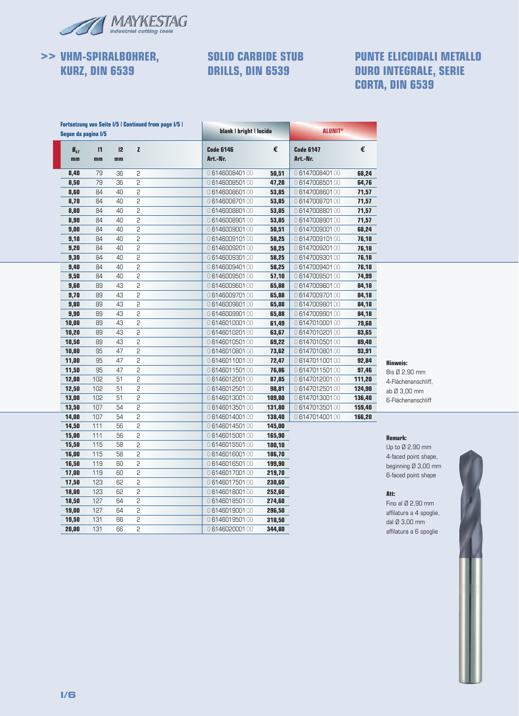

# **>> VHM-SPIRALBOHRER, KURZ, DIN 6539**

### **SOLID CARBIDE STUB DRILLS, DIN 6539**

### **PUNTE ELICOIDALI METALLO DURO INTEGRALE, SERIE CORTA, DIN 6539**

|                                             | Seque da pagina I/5 |            | <b>Fortsetzung von Seite I/5   Continued from page I/5  </b> | blank   bright   lucida      |        | <b>ALUNIT®</b>               |        |
|---------------------------------------------|---------------------|------------|--------------------------------------------------------------|------------------------------|--------|------------------------------|--------|
| $\boldsymbol{\mathsf{B}}_{\text{h}7}$<br>mm | $\mathsf{I}$<br>mm  | 12<br>$mn$ | Z                                                            | <b>Code 6146</b><br>Art.-Nr. | €      | <b>Code 6147</b><br>Art.-Nr. | €      |
| 8,40                                        | 79                  | 36         | 2                                                            | 0614600840100                | 50,51  | 0614700840100                | 68,24  |
| 8,50                                        | 79                  | 36         | 2                                                            | 0614600850100                | 47,28  | 0614700850100                | 64,76  |
| 8,60                                        | 84                  | 40         | 5                                                            | 0614600860100                | 53,85  | 0614700860100                | 71,57  |
| 8,70                                        | 84                  | 40         | 2                                                            | 0614600870100                | 53,85  | 0614700870100                | 71,57  |
| 8,80                                        | 84                  | 40         | 2                                                            | 0614600880100                | 53,85  | 0614700880100                | 71,57  |
| 8,90                                        | 84                  | 40         | 2                                                            | 0614600890100                | 53,85  | 0614700890100                | 71,57  |
| 9,00                                        | 84                  | 40         | 2                                                            | 0614600900100                | 50,51  | 0614700900100                | 68,24  |
| 9,10                                        | 84                  | 40         | 2                                                            | 0614600910100                | 58,25  | 0614700910100                | 76,18  |
| 9,20                                        | 84                  | 40         | 2                                                            | 0614600920100                | 58,25  | 0614700920100                | 76,18  |
| 9,30                                        | 84                  | 40         | 2                                                            | 0614600930100                | 58,25  | 0614700930100                | 76,18  |
| 9,40                                        | 84                  | 40         | 2                                                            | 0614600940100                | 58,25  | 0614700940100                | 76,18  |
| 9,50                                        | 84                  | 40         | 5                                                            | 0614600950100                | 57,10  | 0614700950100                | 74,99  |
| 9,60                                        | 89                  | 43         | $\overline{c}$                                               | 0614600960100                | 65,88  | 0614700960100                | 84,18  |
| 9,70                                        | 89                  | 43         | 2                                                            | 0614600970100                | 65,88  | 0614700970100                | 84,18  |
| 9,80                                        | 89                  | 43         | 5                                                            | 0614600980100                | 65,88  | 0614700980100                | 84,18  |
| 9,90                                        | 89                  | 43         | 2                                                            | 0614600990100                | 65,88  | 0614700990100                | 84,18  |
| 10,00                                       | 89                  | 43         | 2                                                            | 0614601000100                | 61,49  | 0614701000100                | 79,68  |
| 10,20                                       | 89                  | 43         | 5                                                            | 0614601020100                | 63,67  | 0614701020100                | 83,65  |
| 10,50                                       | 89                  | 43         | 2                                                            | 0614601050100                | 69,22  | 0614701050100                | 89,40  |
| 10,80                                       | 95                  | 47         | 5                                                            | 0614601080100                | 73,62  | 0614701080100                | 93,91  |
| 11,00                                       | 95                  | 47         | 5                                                            | 0614601100100                | 72,47  | 0614701100100                | 92,84  |
| 11,50                                       | 95                  | 47         | 5                                                            | 0614601150100                | 76,86  | 0614701150100                | 97,46  |
| 12,00                                       | 102                 | 51         | $\overline{c}$                                               | 0614601200100                | 87,85  | 0614701200100                | 111,20 |
| 12,50                                       | 102                 | 51         | 2                                                            | 0614601250100                | 98,81  | 0614701250100                | 124,90 |
| 13,00                                       | 102                 | 51         | 2                                                            | 0614601300100                | 109,80 | 0614701300100                | 136,40 |
| 13,50                                       | 107                 | 54         | 5                                                            | 0614601350100                | 131,80 | 0614701350100                | 159,40 |
| 14,00                                       | 107                 | 54         | 5                                                            | 0614601400100                | 138,40 | 0614701400100                | 166,20 |
| 14,50                                       | 111                 | 56         | 2                                                            | 0614601450100                | 145,00 |                              |        |
| 15,00                                       | 111                 | 56         | 2                                                            | 0614601500100                | 165,90 |                              |        |
| 15,50                                       | 115                 | 58         | 5                                                            | 0614601550100                | 180,10 |                              |        |
| 16,00                                       | 115                 | 58         | 5                                                            | 0614601600100                | 186,70 |                              |        |
| 16,50                                       | 119                 | 60         | 2                                                            | 0614601650100                | 199,90 |                              |        |
| 17,00                                       | 119                 | 60         | 2                                                            | 0614601700100                | 219,70 |                              |        |
| 17,50                                       | 123                 | 62         | 5                                                            | 0614601750100                | 230,60 |                              |        |
| 18,00                                       | 123                 | 62         | 2                                                            | 0614601800100                | 252,60 |                              |        |
| 18,50                                       | 127                 | 64         | 2                                                            | 0614601850100                | 274,60 |                              |        |
| 19,00                                       | 127                 | 64         | 2                                                            | 0614601900100                | 296,50 |                              |        |
| 19,50                                       | 131                 | 66         | 5                                                            | 0614601950100                | 318,50 |                              |        |
| 20,00                                       | 131                 | 66         | 2                                                            | 0614602000100                | 344,80 |                              |        |



Bis Ø 2,90 mm 4-Flächenanschliff, ab Ø 3,00 mm 6-Flächenanschliff

#### **Remark:**

Up to Ø 2,90 mm 4-faced point shape, beginning Ø 3,00 mm 6-faced point shape

#### **Att:**

Fino al Ø 2,90 mm affilatura a 4 spoglie, dal Ø 3,00 mm affilatura a 6 spoglie

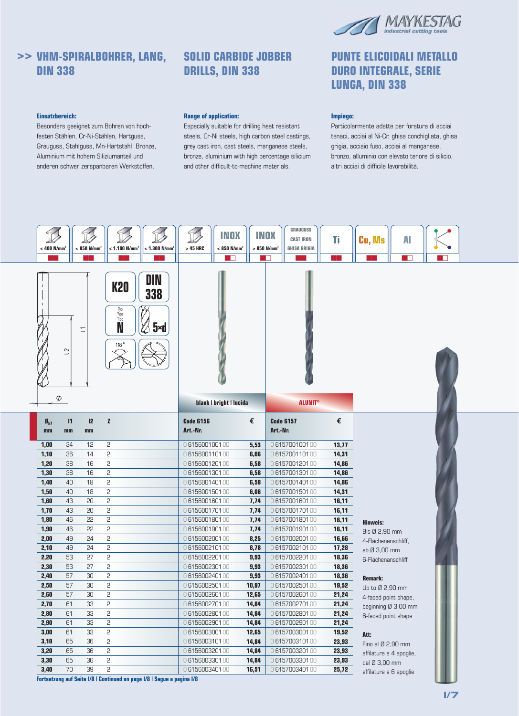

# **>> VHM-SPIRALBOHRER, LANG, DIN 338**

#### **Einsatzbereich:**

Besonders geeignet zum Bohren von hochfesten Stählen, Cr-Ni-Stählen, Hartguss, Grauguss, Stahlguss, Mn-Hartstahl, Bronze, Aluminium mit hohem Siliziumanteil und anderen schwer zerspanbaren Werkstoffen.

### **SOLID CARBIDE JOBBER DRILLS, DIN 338**

#### **Range of application:**

Especially suitable for drilling heat resistant steels, Cr-Ni steels, high carbon steel castings, grey cast iron, cast steels, manganese steels, bronze, aluminium with high percentage silicium and other difficult-to-machine materials.

### **PUNTE ELICOIDALI METALLO DURO INTEGRALE, SERIE LUNGA, DIN 338**

#### **Impiego:**

Particolarmente adatte per foratura di acciai tenaci, acciai al Ni-Cr, ghisa conchigliata, ghisa grigia, acciaio fuso, acciai al manganese, bronzo, alluminio con elevato tenore di silicio, altri acciai di difficile lavorabilità.

|                         | $< 1.300$ N/mm <sup>2</sup><br>$<$ 400 N/mm <sup>2</sup><br>$< 850$ N/mm <sup>2</sup><br>$< 1.100$ N/mm <sup>2</sup> |                          |                                                                                                                                                            |                                                                        | <b>INOX</b><br>$< 850$ N/mm <sup>2</sup><br>$>45$ HRC<br>▔▛ |                         |       | <b>GRAUGUSS</b><br><b>INOX</b><br>Ti<br><b>CAST IRON</b><br>$>850$ N/mm <sup>2</sup><br><b>GHISA GRIGIA</b><br>a pr |       | Cu, Ms                  | Al<br>$\blacksquare$ | н. |
|-------------------------|----------------------------------------------------------------------------------------------------------------------|--------------------------|------------------------------------------------------------------------------------------------------------------------------------------------------------|------------------------------------------------------------------------|-------------------------------------------------------------|-------------------------|-------|---------------------------------------------------------------------------------------------------------------------|-------|-------------------------|----------------------|----|
|                         | $\overline{c}$<br>$\phi$                                                                                             | $\overline{\phantom{0}}$ | <b>K20</b><br>Typ<br>Type<br>Tipo<br>N<br>118 $^{\circ}$                                                                                                   | DIN<br>338<br>$5 \times d$                                             |                                                             | blank   bright   lucida |       | <b>ALUNIT®</b>                                                                                                      |       |                         |                      |    |
| $\mathbf{B}_{h7}$<br>mm | $\mathbf{I}$<br>mm                                                                                                   | 12<br>mm                 | $\mathbf{z}$                                                                                                                                               |                                                                        | <b>Code 6156</b><br>Art.-Nr.                                |                         | €     | <b>Code 6157</b><br>Art.-Nr.                                                                                        | €     |                         |                      |    |
| 1,00                    | 34                                                                                                                   | 12                       | 2                                                                                                                                                          |                                                                        | 0615600100100                                               |                         | 5,53  | 0615700100100                                                                                                       | 13,77 |                         |                      |    |
| 1,10                    | 36                                                                                                                   | 14                       | 5                                                                                                                                                          |                                                                        | 0615600110100                                               |                         | 6,06  | 0615700110100                                                                                                       | 14,31 |                         |                      |    |
| 1,20                    | 38                                                                                                                   | 16                       | 2                                                                                                                                                          |                                                                        | 0615600120100                                               |                         | 6,58  | 0615700120100                                                                                                       | 14,86 |                         |                      |    |
| 1,30                    | 38                                                                                                                   | 16                       | 5                                                                                                                                                          |                                                                        | 0615600130100                                               |                         | 6,58  | 0615700130100                                                                                                       | 14,86 |                         |                      |    |
| 1,40                    | 40                                                                                                                   | 18                       | 2                                                                                                                                                          |                                                                        | 0615600140100                                               |                         | 6,58  | 0615700140100                                                                                                       | 14,86 |                         |                      |    |
| 1,50                    | 40                                                                                                                   | 18                       | $\mathsf{S}% _{T}=\mathsf{S}_{T}\!\left( a,b\right) ,\mathsf{S}_{T}=\mathsf{S}_{T}\!\left( a,b\right) ,\mathsf{S}_{T}=\mathsf{S}_{T}\!\left( a,b\right) ,$ |                                                                        | 0615600150100                                               |                         | 6,06  | 0615700150100                                                                                                       | 14,31 |                         |                      |    |
| 1,60                    | 43                                                                                                                   | 20                       | 2                                                                                                                                                          |                                                                        | 0615600160100                                               |                         | 7,74  | 0615700160100                                                                                                       | 16,11 |                         |                      |    |
| 1,70                    | 43                                                                                                                   | 20                       | 2                                                                                                                                                          |                                                                        | 0615600170100                                               |                         | 7,74  | 0615700170100                                                                                                       | 16,11 |                         |                      |    |
| 1,80                    | 46                                                                                                                   | 22                       | 2                                                                                                                                                          |                                                                        | 0615600180100                                               |                         | 7,74  | 0615700180100                                                                                                       | 16,11 | <b>Hinweis:</b>         |                      |    |
| 1,90                    | 46                                                                                                                   | 22                       | 5                                                                                                                                                          |                                                                        | 0615600190100                                               |                         | 7,74  | 0615700190100                                                                                                       | 16,11 | Bis Ø 2,90 mm           |                      |    |
| 2,00                    | 49                                                                                                                   | 24                       | 5                                                                                                                                                          |                                                                        | 0615600200100                                               |                         | 8,25  | 0615700200100                                                                                                       | 16,66 | 4-Flächenanschliff,     |                      |    |
| 2,10                    | 49                                                                                                                   | 24                       | 2                                                                                                                                                          |                                                                        | 0615600210100                                               |                         | 8,78  | 0615700210100                                                                                                       | 17,28 | ab Ø 3,00 mm            |                      |    |
| 2,20                    | 53                                                                                                                   | 27                       | 5                                                                                                                                                          |                                                                        | 0615600220100                                               |                         | 9,93  | 0615700220100                                                                                                       | 18,36 | 6-Flächenanschliff      |                      |    |
| 2,30                    | 53                                                                                                                   | 27                       | 5                                                                                                                                                          |                                                                        | 0615600230100                                               |                         | 9,93  | 0615700230100                                                                                                       | 18,36 |                         |                      |    |
| 2,40                    | 57                                                                                                                   | 30                       | 2                                                                                                                                                          |                                                                        | 0615600240100                                               |                         | 9,93  | 0615700240100                                                                                                       | 18,36 | Remark:                 |                      |    |
| 2,50                    | 57                                                                                                                   | 30                       | 5                                                                                                                                                          |                                                                        | 0615600250100                                               |                         | 10,97 | 0615700250100                                                                                                       | 19,52 | Up to Ø 2,90 mm         |                      |    |
| 2,60                    | 57                                                                                                                   | 30                       | 5                                                                                                                                                          |                                                                        | 0615600260100                                               |                         | 12,65 | 0615700260100                                                                                                       | 21,24 | 4-faced point shape,    |                      |    |
| 2,70                    | 61                                                                                                                   | 33                       | 2                                                                                                                                                          |                                                                        | 0615600270100                                               |                         | 14,84 | 0615700270100                                                                                                       | 21,24 |                         | beginning Ø 3,00 mm  |    |
| 2,80                    | 61                                                                                                                   | 33                       | 5                                                                                                                                                          |                                                                        | 0615600280100                                               |                         | 14,84 | 0615700280100                                                                                                       | 21,24 | 6-faced point shape     |                      |    |
| 2,90                    | 61                                                                                                                   | 33                       | 2                                                                                                                                                          |                                                                        | 0615600290100                                               |                         | 14,84 | 0615700290100                                                                                                       | 21,24 |                         |                      |    |
| 3,00                    | 61                                                                                                                   | 33                       | 2                                                                                                                                                          |                                                                        | 0615600300100                                               |                         | 12,65 | 0615700300100                                                                                                       | 19,52 | Att:                    |                      |    |
| 3,10                    | 65                                                                                                                   | 36                       | 2                                                                                                                                                          |                                                                        | 0615600310100                                               |                         | 14,84 | 0615700310100                                                                                                       | 23,93 | Fino al Ø 2,90 mm       |                      |    |
| 3,20                    | 65                                                                                                                   | 36                       | 2                                                                                                                                                          |                                                                        | 0615600320100                                               |                         | 14,84 | 0615700320100                                                                                                       | 23,93 | affilatura a 4 spoglie, |                      |    |
| 3,30                    | 65                                                                                                                   | 36                       | 2                                                                                                                                                          |                                                                        | 0615600330100                                               |                         | 14,84 | 0615700330100                                                                                                       | 23,93 | dal Ø 3,00 mm           |                      |    |
| 3,40                    | 70                                                                                                                   | 39                       | 2                                                                                                                                                          |                                                                        | 0615600340100                                               |                         | 16,51 | 0615700340100                                                                                                       | 25,72 | affilatura a 6 spoglie  |                      |    |
|                         |                                                                                                                      |                          |                                                                                                                                                            | Fortsetzung auf Seite I/8   Continued on page I/8   Segue a pagina I/8 |                                                             |                         |       |                                                                                                                     |       |                         |                      |    |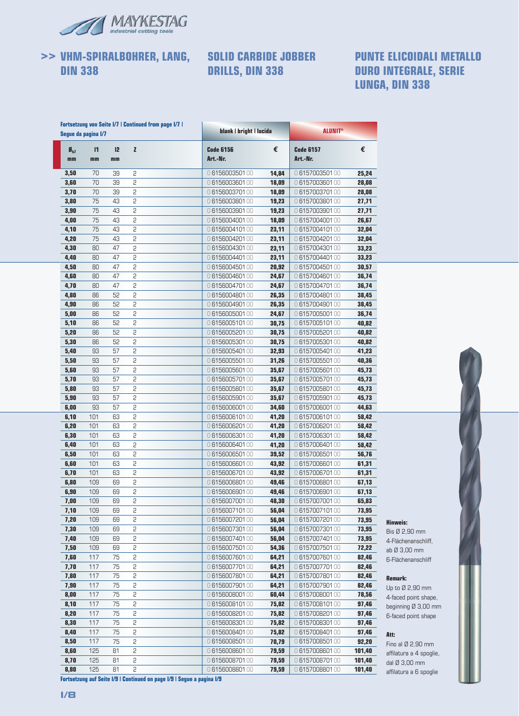

**>> VHM-SPIRALBOHRER, LANG, DIN 338**

### **SOLID CARBIDE JOBBER DRILLS, DIN 338**

### **PUNTE ELICOIDALI METALLO DURO INTEGRALE, SERIE LUNGA, DIN 338**

|                             | Seque da pagina I/7 |          | <b>Fortsetzung von Seite I/7   Continued from page I/7  </b> | blank   bright   lucida      |       | <b>ALUNIT®</b>               |        |
|-----------------------------|---------------------|----------|--------------------------------------------------------------|------------------------------|-------|------------------------------|--------|
| $\boldsymbol{B}_{h2}$<br>mm | $\mathbf{I}$<br>mm  | 12<br>mm | $\mathbf{z}$                                                 | <b>Code 6156</b><br>Art.-Nr. | €     | <b>Code 6157</b><br>Art.-Nr. | €      |
| 3,50                        | 70                  | 39       | 2                                                            | 0615600350100                | 14,84 | 0615700350100                | 25,24  |
| 3,60                        | 70                  | 39       | 2                                                            | 0615600360100                | 18,09 | 0615700360100                | 28,08  |
| 3,70                        | 70                  | 39       | 2                                                            | 0615600370100                | 18,09 | 0615700370100                | 28,08  |
| 3,80                        | 75                  | 43       | 2                                                            | 0615600380100                | 19,23 | 0615700380100                | 27,71  |
| 3,90                        | 75                  | 43       | 2                                                            | 0615600390100                | 19.23 | 0615700390100                | 27,71  |
| 4,00                        | 75                  | 43       | 2                                                            | 0615600400100                | 18,09 | 0615700400100                | 26,67  |
| 4,10                        | 75                  | 43       | 2                                                            | 0615600410100                | 23,11 | 0615700410100                | 32,04  |
| 4,20                        | 75                  | 43       | 2                                                            | 0615600420100                | 23,11 | 0615700420100                | 32,04  |
| 4,30                        | 80                  | 47       | 2                                                            | 0615600430100                | 23,11 | 0615700430100                | 33,23  |
| 4,40                        | 80                  | 47       | 2                                                            | 0615600440100                | 23,11 | 0615700440100                | 33,23  |
| 4,50                        | 80                  | 47       | 2                                                            | 0615600450100                | 20,92 | 0615700450100                | 30,57  |
| 4,60                        | 80                  | 47       | 2                                                            | 0615600460100                | 24,67 | 0615700460100                | 36,74  |
| 4,70                        | 80                  | 47       | 2                                                            | 0615600470100                | 24,67 | 0615700470100                | 36,74  |
| 4,80                        | 86                  | 52       | 2                                                            | 0615600480100                | 26,35 | 0615700480100                | 38,45  |
| 4,90                        | 86                  | 52       | 2                                                            | 0615600490100                | 26,35 | 0615700490100                | 38,45  |
| 5,00                        | 86                  | 52       | 2                                                            | 0615600500100                | 24,67 | 0615700500100                | 36,74  |
| 5,10                        | 86                  | 52       | 2                                                            | 0615600510100                | 30,75 | 0615700510100                | 40,82  |
| 5,20                        | 86                  | 52       | 2                                                            | 0615600520100                | 30,75 | 0615700520100                | 40,82  |
| 5,30                        | 86                  | 52       | 2                                                            | 0615600530100                | 30,75 | 0615700530100                | 40,82  |
| 5,40                        | 93                  | 57       | 2                                                            | 0615600540100                | 32,93 | 0615700540100                | 41,23  |
| 5,50                        | 93                  | 57       | 2                                                            | 0615600550100                | 31,26 | 0615700550100                | 40,36  |
| 5,60                        | 93                  | 57       | 2                                                            | 0615600560100                | 35,67 | 0615700560100                | 45,73  |
| 5,70                        | 93                  | 57       | 2                                                            | 0615600570100                | 35,67 | 0615700570100                | 45,73  |
| 5,80                        | 93                  | 57       | 2                                                            | 0615600580100                | 35,67 | 0615700580100                | 45,73  |
| 5,90                        | 93                  | 57       | 2                                                            | 0615600590100                | 35,67 | 0615700590100                | 45,73  |
| 6,00                        | 93                  | 57       | 2                                                            | 0615600600100                | 34,60 | 0615700600100                | 44,63  |
| 6,10                        | 101                 | 63       | 2                                                            | 0615600610100                | 41,20 | 0615700610100                | 58,42  |
| 6,20                        | 101                 | 63       | 2                                                            | 0615600620100                | 41,20 | 0615700620100                | 58,42  |
| 6,30                        | 101                 | 63       | 2                                                            | 0615600630100                | 41,20 | 0615700630100                | 58,42  |
| 6,40                        | 101                 | 63       | 2                                                            | 0615600640100                | 41,20 | 0615700640100                | 58,42  |
| 6,50                        | 101                 | 63       | 2                                                            | 0615600650100                | 39,52 | 0615700650100                | 56,76  |
| 6,60                        | 101                 | 63       | 2                                                            | 0615600660100                | 43,92 | 0615700660100                | 61,31  |
| 6,70                        | 101                 | 63       | 2                                                            | 0615600670100                | 43,92 | 0615700670100                | 61,31  |
| 6,80                        | 109                 | 69       | 2                                                            | 0615600680100                | 49,46 | 0615700680100                | 67,13  |
| 6,90                        | 109                 | 69       | 2                                                            | 0615600690100                | 49,46 | 0615700690100                | 67,13  |
| 7,00                        | 109                 | 69       | 2                                                            | 0615600700100                | 48,30 | 0615700700100                | 65,83  |
| 7,10                        | 109                 | 69       | 2                                                            | 0615600710100                | 56,04 | 0615700710100                | 73,95  |
| 7,20                        | 109                 | 69       | 2                                                            | 0615600720100                | 56,04 | 0615700720100                | 73,95  |
| 7,30                        | 109                 | 69       | 2                                                            | 0615600730100                | 56,04 | 0615700730100                | 73,95  |
| 7,40                        | 109                 | 69       | 2                                                            | 0615600740100                | 56,04 | 0615700740100                | 73,95  |
| 7,50                        | 109                 | 69       | 2                                                            | 0615600750100                | 54,36 | 0615700750100                | 72,22  |
| 7,60                        | 117                 | 75       | 2                                                            | 0615600760100                | 64,21 | 0615700760100                | 82,46  |
| 7,70                        | 117                 | 75       | 2                                                            | 0615600770100                | 64,21 | 0615700770100                | 82,46  |
| 7,80                        | 117                 | 75       | 2                                                            | 0615600780100                | 64,21 | 0615700780100                | 82,46  |
|                             | 117                 | 75       | 2                                                            |                              |       |                              | 82,46  |
| 7,90                        |                     |          |                                                              | 0615600790100                | 64,21 | 0615700790100                |        |
| 8,00                        | 117                 | 75       | 2                                                            | 0615600800100                | 60,44 | 0615700800100                | 78,56  |
| 8,10                        | 117                 | 75       | 2                                                            | 0615600810100                | 75,82 | 0615700810100                | 97,46  |
| 8,20                        | 117                 | 75       | 2                                                            | 0615600820100                | 75,82 | 0615700820100                | 97,46  |
| 8,30                        | 117                 | 75       | 2                                                            | 0615600830100                | 75,82 | 0615700830100                | 97,46  |
| 8,40                        | 117                 | 75       | 2                                                            | 0615600840100                | 75,82 | 0615700840100                | 97,46  |
| 8,50                        | 117                 | 75       | 2                                                            | 0615600850100                | 70,79 | 0615700850100                | 92,20  |
| 8,60                        | 125                 | 81       | 2                                                            | 0 6156008601 00              | 79,59 | 0615700860100                | 101,40 |
| 8,70                        | 125                 | 81       | 2                                                            | 0615600870100                | 79,59 | 0615700870100                | 101,40 |



**Hinweis:** Bis Ø 2,90 mm 4-Flächenanschliff, ab Ø 3,00 mm 6-Flächenanschliff

**Remark:** Up to Ø 2,90 mm 4-faced point shape, beginning Ø 3,00 mm 6-faced point shape

**Att:**

Fino al Ø 2,90 mm affilatura a 4 spoglie, dal Ø 3,00 mm affilatura a 6 spoglie

**Fortsetzung auf Seite I/9 | Continued on page I/9 | Segue a pagina I/9**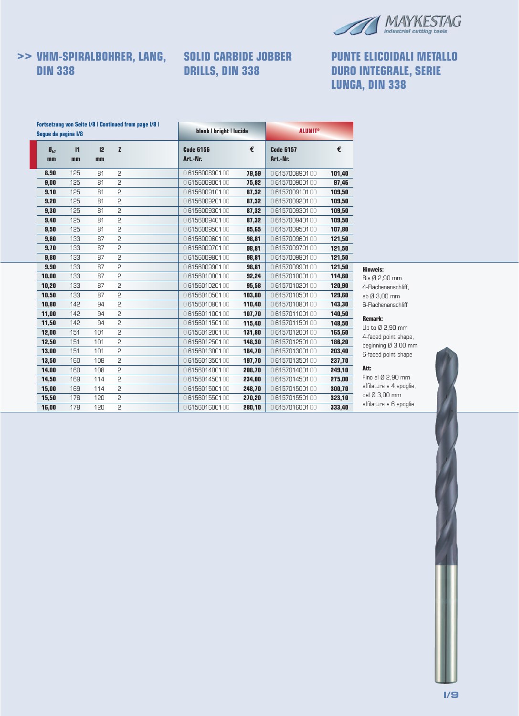

# **>> VHM-SPIRALBOHRER, LANG, DIN 338**

# **SOLID CARBIDE JOBBER DRILLS, DIN 338**

# **PUNTE ELICOIDALI METALLO DURO INTEGRALE, SERIE LUNGA, DIN 338**

| Seque da pagina I/8     |                    |          |              | <b>Fortsetzung von Seite I/8   Continued from page I/8  </b> | blank   bright   lucida      |        | <b>ALUNIT<sup>®</sup></b>    |        |                         |
|-------------------------|--------------------|----------|--------------|--------------------------------------------------------------|------------------------------|--------|------------------------------|--------|-------------------------|
| $\mathbf{B}_{h7}$<br>mm | $\mathbf{I}$<br>mm | 12<br>mm | $\mathbf{z}$ |                                                              | <b>Code 6156</b><br>Art.-Nr. | €      | <b>Code 6157</b><br>Art.-Nr. | €      |                         |
| 8,90                    | 125                | 81       | 2            |                                                              | 0615600890100                | 79,59  | 0615700890100                | 101,40 |                         |
| 9,00                    | 125                | 81       | 2            |                                                              | 0615600900100                | 75,82  | 0615700900100                | 97,46  |                         |
| 9,10                    | 125                | 81       | 2            |                                                              | 0615600910100                | 87,32  | 0615700910100                | 109,50 |                         |
| 9,20                    | 125                | 81       | 2            |                                                              | 0615600920100                | 87,32  | 0615700920100                | 109,50 |                         |
| 9,30                    | 125                | 81       | 5            |                                                              | 0615600930100                | 87,32  | 0615700930100                | 109,50 |                         |
| 9,40                    | 125                | 81       | 2            |                                                              | 0615600940100                | 87,32  | 0615700940100                | 109,50 |                         |
| 9,50                    | 125                | 81       | 2            |                                                              | 0615600950100                | 85,65  | 0615700950100                | 107,80 |                         |
| 9,60                    | 133                | 87       | 2            |                                                              | 0615600960100                | 98,81  | 0615700960100                | 121,50 |                         |
| 9,70                    | 133                | 87       | 2            |                                                              | 0615600970100                | 98,81  | 0615700970100                | 121,50 |                         |
| 9,80                    | 133                | 87       | 2            |                                                              | 0615600980100                | 98,81  | 0615700980100                | 121,50 |                         |
| 9,90                    | 133                | 87       | 2            |                                                              | 0615600990100                | 98,81  | 0615700990100                | 121,50 | <b>Hinweis:</b>         |
| 10,00                   | 133                | 87       | 2            |                                                              | 0615601000100                | 92,24  | 0615701000100                | 114,60 | Bis Ø 2,90 mm           |
| 10,20                   | 133                | 87       | 2            |                                                              | 0615601020100                | 95,58  | 0615701020100                | 120,90 | 4-Flächenanschliff,     |
| 10,50                   | 133                | 87       | 2            |                                                              | 0615601050100                | 103,80 | 0615701050100                | 129,60 | ab Ø 3,00 mm            |
| 10,80                   | 142                | 94       | 2            |                                                              | 0615601080100                | 110,40 | 0615701080100                | 143,30 | 6-Flächenanschliff      |
| 11,00                   | 142                | 94       | 2            |                                                              | 0615601100100                | 107,70 | 0615701100100                | 140,50 | <b>Remark:</b>          |
| 11,50                   | 142                | 94       | 2            |                                                              | 0615601150100                | 115,40 | 0615701150100                | 148,50 | Up to Ø 2,90 mm         |
| 12,00                   | 151                | 101      | 2            |                                                              | 0615601200100                | 131,80 | 0615701200100                | 165,60 | 4-faced point shape,    |
| 12,50                   | 151                | 101      | 2            |                                                              | 0615601250100                | 148,30 | 0615701250100                | 186,20 | beginning Ø 3,00 mm     |
| 13,00                   | 151                | 101      | 2            |                                                              | 0615601300100                | 164,70 | 0615701300100                | 203,40 | 6-faced point shape     |
| 13,50                   | 160                | 108      | 2            |                                                              | 0615601350100                | 197,70 | 0615701350100                | 237,70 |                         |
| 14,00                   | 160                | 108      | 2            |                                                              | 0615601400100                | 208,70 | 0615701400100                | 249,10 | Att:                    |
| 14,50                   | 169                | 114      | 2            |                                                              | 0615601450100                | 234,00 | 0615701450100                | 275,00 | Fino al Ø 2,90 mm       |
| 15,00                   | 169                | 114      | 2            |                                                              | 0615601500100                | 248,70 | 0615701500100                | 300,70 | affilatura a 4 spoglie, |
| 15,50                   | 178                | 120      | 2            |                                                              | 0615601550100                | 270,20 | 0615701550100                | 323,10 | dal Ø 3,00 mm           |
| 16,00                   | 178                | 120      | 2            |                                                              | 0615601600100                | 280,10 | 0615701600100                | 333,40 | affilatura a 6 spoglie  |

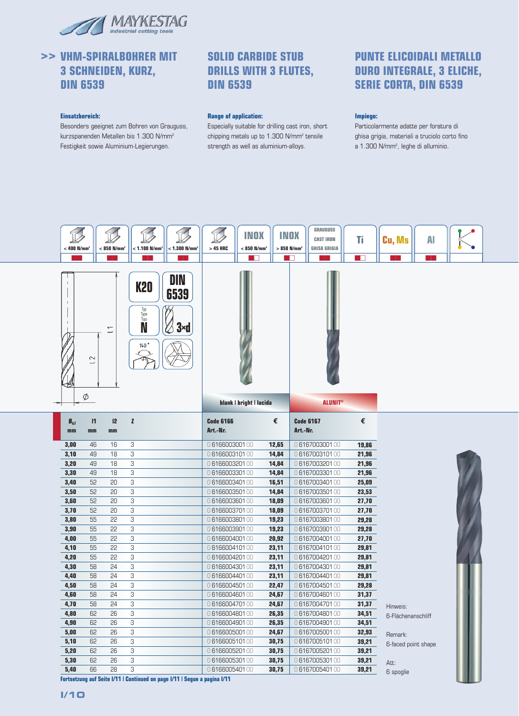

## **>> VHM-SPIRALBOHRER MIT 3 SCHNEIDEN, KURZ, DIN 6539**

#### **Einsatzbereich:**

Besonders geeignet zum Bohren von Grauguss, kurzspanenden Metallen bis 1.300 N/mm2 Festigkeit sowie Aluminium-Legierungen.

### **SOLID CARBIDE STUB DRILLS WITH 3 FLUTES, DIN 6539**

#### **Range of application:**

Especially suitable for drilling cast iron, short chipping metals up to 1.300 N/mm2 tensile strength as well as aluminium-alloys.

### **PUNTE ELICOIDALI METALLO DURO INTEGRALE, 3 ELICHE, SERIE CORTA, DIN 6539**

#### **Impiego:**

Particolarmente adatte per foratura di ghisa grigia, materiali a truciolo corto fino a 1.300 N/mm<sup>2</sup>, leghe di alluminio.



**Fortsetzung auf Seite I/11 | Continued on page I/11 | Segue a pagina I/11**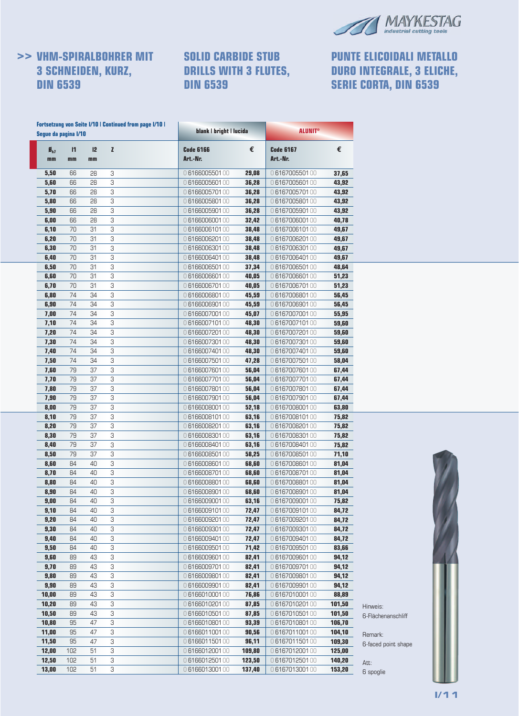

# **>> VHM-SPIRALBOHRER MIT 3 SCHNEIDEN, KURZ, DIN 6539**

### **SOLID CARBIDE STUB DRILLS WITH 3 FLUTES, DIN 6539**

# **PUNTE ELICOIDALI METALLO DURO INTEGRALE, 3 ELICHE, SERIE CORTA, DIN 6539**

|                         | Segue da pagina I/10 |          | <b>Fortsetzung von Seite I/10   Continued from page I/10  </b> | blank   bright   lucida        |                | <b>ALUNIT®</b>                 |                |                     |
|-------------------------|----------------------|----------|----------------------------------------------------------------|--------------------------------|----------------|--------------------------------|----------------|---------------------|
| $\mathbf{B}_{h7}$<br>mm | $\mathsf{I}$<br>mm   | 12<br>mm | z                                                              | <b>Code 6166</b><br>Art.-Nr.   | €              | <b>Code 6167</b><br>Art.-Nr.   | €              |                     |
| 5,50                    | 66                   | 28       | 3                                                              | 0616600550100                  | 29,08          | 0616700550100                  | 37,65          |                     |
| 5,60                    | 66                   | 28       | 3                                                              | 0616600560100                  | 36,28          | 0616700560100                  | 43,92          |                     |
| 5,70                    | 66                   | 28       | 3                                                              | 0616600570100                  | 36,28          | 0616700570100                  | 43,92          |                     |
| 5,80                    | 66                   | 28       | 3                                                              | 0616600580100                  | 36,28          | 0616700580100                  | 43,92          |                     |
| 5,90                    | 66                   | 28       | 3                                                              | 0616600590100                  | 36,28          | 0616700590100                  | 43,92          |                     |
| 6,00                    | 66                   | 28       | 3                                                              | 0616600600100                  | 32,42          | 0616700600100                  | 40,78          |                     |
| 6,10                    | 70                   | 31       | 3                                                              | 0616600610100                  | 38,48          | 0616700610100                  | 49,67          |                     |
| 6,20                    | 70                   | 31       | 3                                                              | 0616600620100                  | 38,48          | 0616700620100                  | 49,67          |                     |
| 6,30                    | 70                   | 31       | 3<br>3                                                         | 0616600630100                  | 38,48          | 0616700630100                  | 49,67          |                     |
| 6,40                    | 70<br>70             | 31<br>31 | 3                                                              | 0616600640100                  | 38,48          | 0616700640100                  | 49,67          |                     |
| 6,50<br>6,60            | 70                   | 31       | 3                                                              | 0616600650100<br>0616600660100 | 37,34<br>40,05 | 0616700650100<br>0616700660100 | 48,64<br>51,23 |                     |
| 6,70                    | 70                   | 31       | 3                                                              | 0616600670100                  | 40,05          | 0616700670100                  | 51,23          |                     |
| 6,80                    | 74                   | 34       | 3                                                              | 0616600680100                  | 45,59          | 0616700680100                  | 56,45          |                     |
| 6,90                    | 74                   | 34       | 3                                                              | 0616600690100                  | 45,59          | 0616700690100                  | 56,45          |                     |
| 7,00                    | 74                   | 34       | 3                                                              | 0616600700100                  | 45,07          | 0616700700100                  | 55,95          |                     |
| 7,10                    | 74                   | 34       | 3                                                              | 0616600710100                  | 48,30          | 0616700710100                  | 59,60          |                     |
| 7,20                    | 74                   | 34       | 3                                                              | 0616600720100                  | 48,30          | 0616700720100                  | 59,60          |                     |
| 7,30                    | 74                   | 34       | 3                                                              | 0616600730100                  | 48,30          | 0616700730100                  | 59,60          |                     |
| 7,40                    | 74                   | 34       | 3                                                              | 0616600740100                  | 48,30          | 0616700740100                  | 59,60          |                     |
| 7,50                    | 74                   | 34       | 3                                                              | 0616600750100                  | 47,28          | 0616700750100                  | 58,04          |                     |
| 7,60                    | 79                   | 37       | 3                                                              | 0616600760100                  | 56,04          | 0616700760100                  | 67,44          |                     |
| 7,70                    | 79                   | 37       | 3                                                              | 0616600770100                  | 56,04          | 0616700770100                  | 67,44          |                     |
| 7,80                    | 79                   | 37       | 3                                                              | 0616600780100                  | 56,04          | 0616700780100                  | 67,44          |                     |
| 7,90                    | 79                   | 37       | 3                                                              | 0616600790100                  | 56,04          | 0616700790100                  | 67,44          |                     |
| 8,00                    | 79<br>79             | 37       | 3<br>3                                                         | 0616600800100                  | 52,18          | 0616700800100                  | 63,80          |                     |
| 8,10<br>8,20            | 79                   | 37<br>37 | 3                                                              | 0616600810100<br>0616600820100 | 63,16<br>63,16 | 0616700810100<br>0616700820100 | 75,82<br>75,82 |                     |
| 8,30                    | 79                   | 37       | 3                                                              | 0616600830100                  | 63,16          | 0616700830100                  | 75,82          |                     |
| 8,40                    | 79                   | 37       | 3                                                              | 0616600840100                  | 63,16          | 0616700840100                  | 75,82          |                     |
| 8,50                    | 79                   | 37       | 3                                                              | 0616600850100                  | 58,25          | 0616700850100                  | 71,10          |                     |
| 8,60                    | 84                   | 40       | З                                                              | 0616600860100                  | 68,60          | 0616700860100                  | 81,04          |                     |
| 8,70                    | 84                   | 40       | 3                                                              | 0616600870100                  | 68,60          | 0616700870100                  | 81,04          |                     |
| 8,80                    | 84                   | 40       | 3                                                              | 0616600880100                  | 68,60          | 0616700880100                  | 81,04          |                     |
| 8,90                    | 84                   | 40       | 3                                                              | 0616600890100                  | 68,60          | 0616700890100                  | 81,04          |                     |
| 9,00                    | 84                   | 40       | 3                                                              | 0616600900100                  | 63,16          | 0616700900100                  | 75,82          |                     |
| 9,10                    | 84                   | 40       | З                                                              | 0616600910100                  | 72,47          | 0616700910100                  | 84,72          |                     |
| 9,20                    | 84                   | 40       | 3                                                              | 0616600920100                  | 72,47          | 0616700920100                  | 84,72          |                     |
| 9,30                    | 84                   | 40       | З                                                              | 0616600930100                  | 72,47          | 0616700930100                  | 84,72          |                     |
| 9,40                    | 84                   | 40       | З                                                              | 0616600940100                  | 72,47          | 0616700940100                  | 84,72          |                     |
| 9,50                    | 84                   | 40       | 3                                                              | 0616600950100                  | 71,42          | 0616700950100                  | 83,66          |                     |
| 9,60                    | 89                   | 43       | 3                                                              | 0616600960100<br>0616600970100 | 82,41          | 0616700960100                  | 94,12          |                     |
| 9,70<br>9,80            | 89<br>89             | 43<br>43 | З<br>3                                                         | 0616600980100                  | 82,41<br>82,41 | 0616700970100<br>0616700980100 | 94,12<br>94,12 |                     |
| 9,90                    | 89                   | 43       | З                                                              | 0616600990100                  | 82,41          | 0616700990100                  | 94,12          |                     |
| 10,00                   | 89                   | 43       | З                                                              | 0616601000100                  | 76,86          | 0616701000100                  | 88,89          |                     |
| 10,20                   | 89                   | 43       | 3                                                              | 0616601020100                  | 87,85          | 0616701020100                  | 101,50         |                     |
| 10,50                   | 89                   | 43       | З                                                              | 0616601050100                  | 87,85          | 0616701050100                  | 101,50         | Hinweis:            |
| 10,80                   | 95                   | 47       | З                                                              | 0616601080100                  | 93,39          | 0616701080100                  | 106,70         | 6-Flächenanschliff  |
| 11,00                   | 95                   | 47       | 3                                                              | 0616601100100                  | 90,56          | 0616701100100                  | 104,10         | Remark:             |
| 11,50                   | 95                   | 47       | З                                                              | 0616601150100                  | 96,11          | 0616701150100                  | 109,30         | 6-faced point shape |
| 12,00                   | 102                  | 51       | З                                                              | 0616601200100                  | 109,80         | 0616701200100                  | 125,00         |                     |
| 12,50                   | 102                  | 51       | З                                                              | 0616601250100                  | 123,50         | 0616701250100                  | 140,20         | Att:                |
| 13,00                   | 102                  | 51       | З                                                              | 0616601300100                  | 137,40         | 0616701300100                  | 153,20         | 6 spoglie           |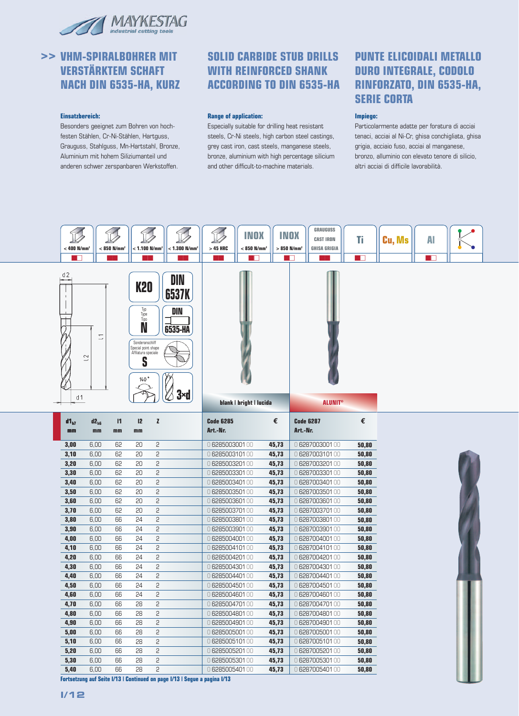

# **>> VHM-SPIRALBOHRER MIT VERSTÄRKTEM SCHAFT NACH DIN 6535-HA, KURZ**

#### **Einsatzbereich:**

Besonders geeignet zum Bohren von hochfesten Stählen, Cr-Ni-Stählen, Hartguss, Grauguss, Stahlguss, Mn-Hartstahl, Bronze, Aluminium mit hohem Siliziumanteil und anderen schwer zerspanbaren Werkstoffen.

### **SOLID CARBIDE STUB DRILLS WITH REINFORCED SHANK ACCORDING TO DIN 6535-HA**

#### **Range of application:**

Especially suitable for drilling heat resistant steels, Cr-Ni steels, high carbon steel castings, grey cast iron, cast steels, manganese steels, bronze, aluminium with high percentage silicium and other difficult-to-machine materials.

## **PUNTE ELICOIDALI METALLO DURO INTEGRALE, CODOLO RINFORZATO, DIN 6535-HA, SERIE CORTA**

#### **Impiego:**

Particolarmente adatte per foratura di acciai tenaci, acciai al Ni-Cr, ghisa conchigliata, ghisa grigia, acciaio fuso, acciai al manganese, bronzo, alluminio con elevato tenore di silicio, altri acciai di difficile lavorabilità.

| $< 400$ N/mm <sup>2</sup><br><b>The Company</b>                                                                                                                                                                                       |                 | $< 850$ N/mm <sup>2</sup> | $<$ 1.100 N/mm <sup>2</sup> |                         | $<$ 1.300 N/mm <sup>2</sup>                                               | $>45$ HRC                        | INOX<br>$< 850$ N/mm <sup>2</sup><br>a ka |                | INOX<br>$> 850$ N/mm <sup>2</sup><br>- 11 | <b>GRAUGUSS</b><br><b>CAST IRON</b><br><b>GHISA GRIGIA</b> | Ti<br>a T      | Cu, Ms | AI<br>T |  |
|---------------------------------------------------------------------------------------------------------------------------------------------------------------------------------------------------------------------------------------|-----------------|---------------------------|-----------------------------|-------------------------|---------------------------------------------------------------------------|----------------------------------|-------------------------------------------|----------------|-------------------------------------------|------------------------------------------------------------|----------------|--------|---------|--|
| d2<br>DIN<br><b>K20</b><br><b>6537K</b><br>$\mathbf{I}$<br>Typ<br>DIN<br>Type<br>Tipo<br>N<br>6535-HA<br>$\overline{\phantom{0}}$<br>Sonderanschliff<br>Special point shape<br>Affilatura speciale<br>$\sim$<br>S<br>140<br>3×d<br>d1 |                 |                           |                             | blank   bright   lucida |                                                                           |                                  |                                           |                |                                           |                                                            |                |        |         |  |
|                                                                                                                                                                                                                                       |                 |                           |                             |                         |                                                                           |                                  |                                           |                |                                           | <b>ALUNIT®</b>                                             |                |        |         |  |
| $d1_{h7}$<br>mm                                                                                                                                                                                                                       | $d2_{h6}$<br>mm | $\mathsf{I}$<br>mm        | 12<br>mm                    | $\mathbf{z}$            |                                                                           | <b>Code 6285</b><br>Art.-Nr.     |                                           | €              | <b>Code 6287</b><br>Art.-Nr.              |                                                            | €              |        |         |  |
| 3,00                                                                                                                                                                                                                                  | 6,00            | 62                        | 20                          | 2                       |                                                                           | 0 628500300100                   |                                           | 45,73          |                                           | 0 628700300100                                             | 50,80          |        |         |  |
| 3,10                                                                                                                                                                                                                                  | 6,00            | 62                        | 20                          | 5                       |                                                                           | 0628500310100                    |                                           | 45,73          |                                           | 0628700310100                                              | 50,80          |        |         |  |
| 3,20                                                                                                                                                                                                                                  | 6,00            | 62                        | 20                          | 2                       |                                                                           | 0 628500320100                   |                                           | 45,73          |                                           | 0 628700320100                                             | 50,80          |        |         |  |
| 3,30                                                                                                                                                                                                                                  | 6,00            | 62                        | 20                          | 2                       |                                                                           | 0 6285003301 00                  |                                           | 45,73          |                                           | 0 628700330100                                             | 50,80          |        |         |  |
| 3,40                                                                                                                                                                                                                                  | 6,00            | 62                        | 20                          | 2                       |                                                                           | 0628500340100                    |                                           | 45,73          |                                           | 0 6287003401 00                                            | 50,80          |        |         |  |
| 3,50                                                                                                                                                                                                                                  | 6,00            | 62                        | 20                          | 2                       |                                                                           | 0 628500350100                   |                                           | 45,73          |                                           | 0 628700350100                                             | 50,80          |        |         |  |
| 3,60                                                                                                                                                                                                                                  | 6,00            | 62                        | 20                          | 2                       |                                                                           | 0 628500360100                   |                                           | 45,73          |                                           | 0 628700360100                                             | 50,80          |        |         |  |
| 3,70                                                                                                                                                                                                                                  | 6,00            | 62                        | 20                          | 2                       |                                                                           | 0 6285003701 00                  |                                           | 45,73          |                                           | 0 628700370100                                             | 50,80          |        |         |  |
| 3,80                                                                                                                                                                                                                                  | 6,00            | 66                        | 24<br>24                    | 2                       |                                                                           | 0 628500380100                   |                                           | 45,73          |                                           | 0628700380100                                              | 50,80          |        |         |  |
| 3,90                                                                                                                                                                                                                                  | 6,00            | 66<br>66                  | 24                          | 2<br>5                  |                                                                           | 0 6285003901 00<br>0628500400100 |                                           | 45,73<br>45,73 |                                           | 0 628700390100<br>0628700400100                            | 50,80          |        |         |  |
| 4,00                                                                                                                                                                                                                                  | 6,00<br>6,00    | 66                        | 24                          | 2                       |                                                                           | 0628500410100                    |                                           | 45,73          |                                           | 0628700410100                                              | 50,80<br>50,80 |        |         |  |
| 4,10<br>4,20                                                                                                                                                                                                                          | 6,00            | 66                        | 24                          | 5                       |                                                                           | 0 6285004201 00                  |                                           | 45,73          |                                           | 0 6287004201 00                                            | 50,80          |        |         |  |
| 4,30                                                                                                                                                                                                                                  | 6,00            | 66                        | 24                          | 5                       |                                                                           | 0628500430100                    |                                           | 45,73          |                                           | 0628700430100                                              | 50,80          |        |         |  |
| 4,40                                                                                                                                                                                                                                  | 6,00            | 66                        | 24                          | 2                       |                                                                           | 0628500440100                    |                                           | 45,73          |                                           | 0628700440100                                              | 50,80          |        |         |  |
| 4,50                                                                                                                                                                                                                                  | 6,00            | 66                        | 24                          | 5                       |                                                                           | 0 6285004501 00                  |                                           | 45,73          |                                           | 0628700450100                                              | 50,80          |        |         |  |
| 4,60                                                                                                                                                                                                                                  | 6,00            | 66                        | 24                          | 2                       |                                                                           | 0 6285004601 00                  |                                           | 45,73          |                                           | 0628700460100                                              | 50,80          |        |         |  |
| 4,70                                                                                                                                                                                                                                  | 6,00            | 66                        | 28                          | 2                       |                                                                           | 0 6285004701 00                  |                                           | 45,73          |                                           | 0628700470100                                              | 50,80          |        |         |  |
| 4,80                                                                                                                                                                                                                                  | 6,00            | 66                        | 28                          | 5                       |                                                                           | 0628500480100                    |                                           | 45,73          |                                           | 0 6287004801 00                                            | 50,80          |        |         |  |
| 4,90                                                                                                                                                                                                                                  | 6,00            | 66                        | 28                          | 2                       |                                                                           | 0 6285004901 00                  |                                           | 45,73          |                                           | 0 6287004901 00                                            | 50,80          |        |         |  |
| 5,00                                                                                                                                                                                                                                  | 6,00            | 66                        | 28                          | 2                       |                                                                           | 0 628500500100                   |                                           | 45,73          |                                           | 0 628700500100                                             | 50,80          |        |         |  |
| 5,10                                                                                                                                                                                                                                  | 6,00            | 66                        | 28                          | 2                       |                                                                           | 0628500510100                    |                                           | 45,73          |                                           | 0628700510100                                              | 50,80          |        |         |  |
| 5,20                                                                                                                                                                                                                                  | 6,00            | 66                        | 28                          | 2                       |                                                                           | 0 628500520100                   |                                           | 45,73          |                                           | 0 628700520100                                             | 50,80          |        |         |  |
| 5,30                                                                                                                                                                                                                                  | 6,00            | 66                        | 28                          | 2                       |                                                                           | 0 628500530100                   |                                           | 45,73          |                                           | 0628700530100                                              | 50,80          |        |         |  |
| 5,40                                                                                                                                                                                                                                  | 6,00            | 66                        | 28                          | 5                       |                                                                           | 0 628500540100                   |                                           | 45,73          |                                           | 0628700540100                                              | 50,80          |        |         |  |
|                                                                                                                                                                                                                                       |                 |                           |                             |                         | Fortsetzung auf Seite I/13   Continued on page I/13   Segue a pagina I/13 |                                  |                                           |                |                                           |                                                            |                |        |         |  |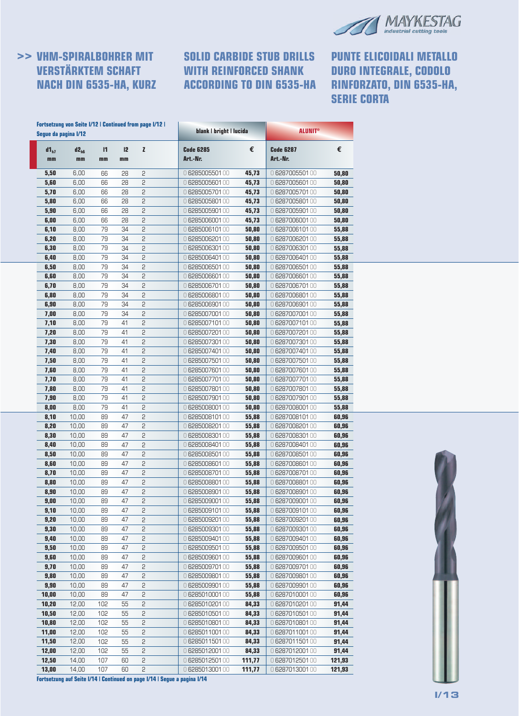

### **>> VHM-SPIRALBOHRER MIT VERSTÄRKTEM SCHAFT NACH DIN 6535-HA, KURZ**

# **SOLID CARBIDE STUB DRILLS WITH REINFORCED SHANK ACCORDING TO DIN 6535-HA**

**PUNTE ELICOIDALI METALLO DURO INTEGRALE, CODOLO RINFORZATO, DIN 6535-HA, SERIE CORTA**

|                 | Segue da pagina I/12 |                    |          |              | blank   bright   lucida      |        | <b>ALUNIT®</b>               |        |  |
|-----------------|----------------------|--------------------|----------|--------------|------------------------------|--------|------------------------------|--------|--|
| $d1_{h7}$<br>mm | $d2_{h6}$<br>mm      | $\mathbf{I}$<br>mm | 12<br>mm | $\mathbf{z}$ | <b>Code 6285</b><br>Art.-Nr. | €      | <b>Code 6287</b><br>Art.-Nr. | €      |  |
| 5,50            | 6,00                 | 66                 | 28       | 5            | 0 6285005501 00              | 45,73  | 0 628700550100               | 50,80  |  |
| 5,60            | 6,00                 | 66                 | 28       | 5            | 0 628500560100               | 45,73  | 0 628700560100               | 50,80  |  |
| 5,70            | 6,00                 | 66                 | 28       | 5            | 0 6285005701 00              | 45,73  | 0 628700570100               | 50,80  |  |
| 5,80            | 6,00                 | 66                 | 28       | 2            | 0 6285005801 00              | 45,73  | 0 628700580100               | 50,80  |  |
| 5,90            | 6,00                 | 66                 | 28       | 2            | 0 6285005901 00              | 45,73  | 0 628700590100               | 50,80  |  |
| 6,00            | 6,00                 | 66                 | 28       | 2            | 0 6285006001 00              | 45,73  | 0 628700600100               | 50,80  |  |
| 6,10            | 8,00                 | 79                 | 34       | 2            | 0 628500610100               | 50,80  | 0628700610100                | 55,88  |  |
| 6,20            | 8,00                 | 79                 | 34       | 2            | 0 6285006201 00              | 50,80  | 0 628700620100               | 55,88  |  |
| 6,30            | 8,00                 | 79                 | 34       | 2            | 0 6285006301 00              | 50,80  | 0 628700630100               | 55,88  |  |
| 6,40            | 8,00                 | 79                 | 34       | 2            | 0 6285006401 00              | 50,80  | 0 628700640100               | 55,88  |  |
| 6,50            | 8,00                 | 79                 | 34       | 2            | 0 6285006501 00              | 50,80  | 0 628700650100               | 55,88  |  |
| 6,60            | 8,00                 | 79                 | 34       | 2            | 0 6285006601 00              | 50,80  | 0 628700660100               | 55,88  |  |
| 6,70            | 8,00                 | 79                 | 34       | 2            | 0 6285006701 00              | 50,80  | 0 6287006701 00              | 55,88  |  |
| 6,80            | 8,00                 | 79                 | 34       | 5            | 0 628500680100               | 50,80  | 0 6287006801 00              | 55,88  |  |
| 6,90            | 8,00                 | 79                 | 34       | 5            | 0 6285006901 00              | 50,80  | 0 6287006901 00              | 55,88  |  |
| 7,00            | 8,00                 | 79                 | 34       | 2            | 0 6285007001 00              | 50,80  | 0 6287007001 00              | 55,88  |  |
| 7,10            | 8,00                 | 79                 | 41       | 2            | 0628500710100                | 50,80  | 0628700710100                | 55,88  |  |
| 7,20            | 8,00                 | 79                 | 41       | 2            | 0 628500720100               | 50,80  | 0 628700720100               | 55,88  |  |
| 7,30            | 8,00                 | 79                 | 41       | 2            | 0 628500730100               | 50,80  | 0628700730100                | 55,88  |  |
| 7,40            | 8,00                 | 79                 | 41       | 2            | 0628500740100                | 50,80  | 0628700740100                | 55,88  |  |
| 7,50            | 8,00                 | 79                 | 41       | 2            | 0 628500750100               | 50,80  | 0628700750100                | 55,88  |  |
| 7,60            | 8,00                 | 79                 | 41       | 2            | 0 628500760100               | 50,80  | 0 628700760100               | 55,88  |  |
| 7,70            | 8,00                 | 79                 | 41       | 2            | 0628500770100                | 50,80  | 0 628700770100               | 55,88  |  |
| 7,80            | 8,00                 | 79                 | 41       | 2            | 0 628500780100               | 50,80  | 0 628700780100               | 55,88  |  |
| 7,90            | 8,00                 | 79                 | 41       | 2            | 0 6285007901 00              | 50,80  | 0 6287007901 00              | 55,88  |  |
| 8,00            | 8,00                 | 79                 | 41       | 2            | 0628500800100                | 50,80  | 0 628700800100               | 55,88  |  |
| 8,10            | 10,00                | 89                 | 47       | 5            | 0628500810100                | 55,88  | 0 628700810100               | 60,96  |  |
| 8,20            | 10,00                | 89                 | 47       | 5            | 0 628500820100               | 55,88  | 0 6287008201 00              | 60,96  |  |
| 8,30            | 10,00                | 89                 | 47       | 2            | 0628500830100                | 55,88  | 0628700830100                | 60,96  |  |
| 8,40            | 10,00                | 89                 | 47       | 2            | 0 6285008401 00              | 55,88  | 0 628700840100               | 60,96  |  |
| 8,50            | 10,00                | 89                 | 47       | 2            | 0 628500850100               | 55,88  | 0 628700850100               | 60,96  |  |
| 8,60            | 10,00                | 89                 | 47       | 2            | 0 628500860100               | 55,88  | 0 628700860100               | 60,96  |  |
| 8,70            | 10,00                | 89                 | 47       | 5            | 0 628500870100               | 55,88  | 0 6287008701 00              | 60,96  |  |
| 8,80            | 10,00                | 89                 | 47       | 5            | 0628500880100                | 55,88  | 0 628700880100               | 60,96  |  |
| 8,90            | 10,00                | 89                 | 47       | 2            | 0 6285008901 00              | 55,88  | 0 6287008901 00              | 60,96  |  |
| 9,00            | 10,00                | 89                 | 47       | 2            | 0 6285009001 00              | 55,88  | 0 6287009001 00              | 60,96  |  |
| 9,10            | 10,00                | 89                 | 47       | 2            | 0 6285009101 00              | 55,88  | 0 628700910100               | 60,96  |  |
| 9,20            | 10,00                | 89                 | 47       | 2            | 0 6285009201 00              | 55,88  | 0 628700920100               | 60,96  |  |
| 9,30            | 10,00                | 89                 | 47       | 2            | 0 6285009301 00              | 55,88  | 0 6287009301 00              | 60,96  |  |
| 9,40            | 10,00                | 89                 | 47       | 2            | 0 6285009401 00              | 55,88  | 0 6287009401 00              | 60,96  |  |
| 9,50            | 10,00                | 89                 | 47       | 2            | 0 6285009501 00              | 55,88  | 0 6287009501 00              | 60,96  |  |
| 9,60            | 10,00                | 89                 | 47       | 2            | 0 6285009601 00              | 55,88  | 0 628700960100               | 60,96  |  |
| 9,70            | 10,00                | 89                 | 47       | 2            | 0 6285009701 00              | 55,88  | 0 6287009701 00              | 60,96  |  |
| 9,80            | 10,00                | 89                 | 47       | 2            | 0 6285009801 00              | 55,88  | 0 628700980100               | 60,96  |  |
| 9,90            | 10,00                | 89                 | 47       | 2            | 0 6285009901 00              | 55,88  | 0 6287009901 00              | 60,96  |  |
| 10,00           | 10,00                | 89                 | 47       | 2            | 0 6285010001 00              | 55,88  | 0 628701000100               | 60,96  |  |
| 10,20           | 12,00                | 102                | 55       | 2            | 0 6285010201 00              | 84,33  | 0 628701020100               | 91,44  |  |
| 10,50           | 12,00                | 102                | 55       | 2            | 0 628501050100               | 84,33  | 0 628701050100               | 91,44  |  |
| 10,80           | 12,00                | 102                | 55       | 2            | 0628501080100                | 84,33  | 0 628701080100               | 91,44  |  |
| 11,00           | 12,00                | 102                | 55       | 2            | 0 628501100100               | 84,33  | 0628701100100                | 91,44  |  |
| 11,50           | 12,00                | 102                | 55       | 2            | 0628501150100                | 84,33  | 0628701150100                | 91,44  |  |
| 12,00           | 12,00                | 102                | 55       | 2            | 0 628501200100               | 84,33  | 0 6287012001 00              | 91,44  |  |
| 12,50           | 14,00                | 107                | 60       | 2            | 0 628501250100               | 111,77 | 0 628701250100               | 121,93 |  |
| 13,00           | 14,00                | 107                | 60       | 5            | 0 628501300100               | 111,77 | 0 628701300100               | 121,93 |  |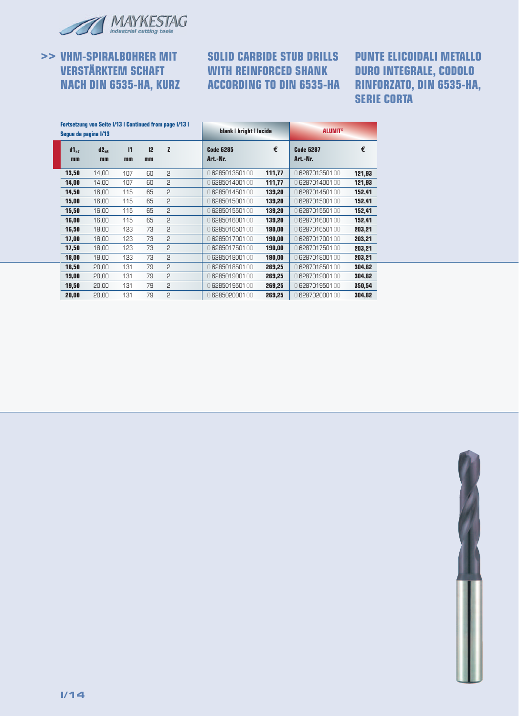

# **>> VHM-SPIRALBOHRER MIT VERSTÄRKTEM SCHAFT NACH DIN 6535-HA, KURZ**

# **SOLID CARBIDE STUB DRILLS WITH REINFORCED SHANK ACCORDING TO DIN 6535-HA**

**PUNTE ELICOIDALI METALLO DURO INTEGRALE, CODOLO RINFORZATO, DIN 6535-HA, SERIE CORTA**

| Seque da pagina I/13 | <b>Fortsetzung von Seite I/13   Continued from page I/13  </b> |                    |          |   | blank   bright   lucida      |        | <b>ALUNIT<sup>®</sup></b>    |        |  |
|----------------------|----------------------------------------------------------------|--------------------|----------|---|------------------------------|--------|------------------------------|--------|--|
| $d1_{h7}$<br>mm      | $d2_{\text{hs}}$<br>mm                                         | $\mathsf{I}$<br>mm | 12<br>mm | Z | <b>Code 6285</b><br>Art.-Nr. | €      | <b>Code 6287</b><br>Art.-Nr. | €      |  |
| 13,50                | 14,00                                                          | 107                | 60       | 2 | 0628501350100                | 111,77 | 0 628701350100               | 121,93 |  |
| 14,00                | 14.00                                                          | 107                | 60       | 5 | 0628501400100                | 111,77 | 0628701400100                | 121,93 |  |
| 14,50                | 16,00                                                          | 115                | 65       | 5 | 0628501450100                | 139,20 | 0 628701450100               | 152,41 |  |
| 15,00                | 16,00                                                          | 115                | 65       | 5 | 0628501500100                | 139,20 | 0628701500100                | 152,41 |  |
| 15,50                | 16,00                                                          | 115                | 65       | 5 | 0628501550100                | 139,20 | 0628701550100                | 152,41 |  |
| 16,00                | 16,00                                                          | 115                | 65       | 2 | 0628501600100                | 139,20 | 0 6287016001 00              | 152,41 |  |
| 16,50                | 18,00                                                          | 123                | 73       | 2 | 0628501650100                | 190,00 | 0628701650100                | 203,21 |  |
| 17,00                | 18,00                                                          | 123                | 73       | 2 | 0628501700100                | 190,00 | 0 6287017001 00              | 203,21 |  |
| 17,50                | 18,00                                                          | 123                | 73       | 2 | 0628501750100                | 190,00 | 0628701750100                | 203,21 |  |
| 18,00                | 18,00                                                          | 123                | 73       | 2 | 0628501800100                | 190,00 | 0 628701800100               | 203,21 |  |
| 18,50                | 20,00                                                          | 131                | 79       | 5 | 0628501850100                | 269,25 | 0628701850100                | 304,82 |  |
| 19,00                | 20,00                                                          | 131                | 79       | 2 | 0 628501900100               | 269,25 | 0628701900100                | 304,82 |  |
| 19,50                | 20,00                                                          | 131                | 79       | 2 | 0628501950100                | 269,25 | 0628701950100                | 350,54 |  |
| 20,00                | 20.00                                                          | 131                | 79       | 5 | 0 628502000100               | 269,25 | 0628702000100                | 304,82 |  |
|                      |                                                                |                    |          |   |                              |        |                              |        |  |

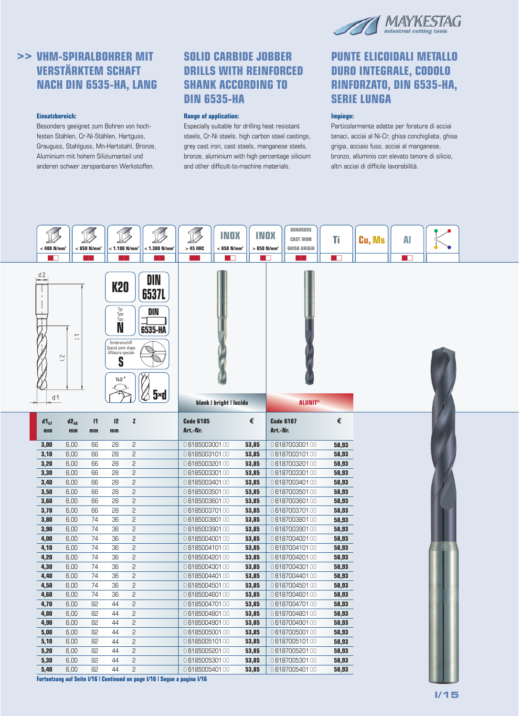

# **>> VHM-SPIRALBOHRER MIT VERSTÄRKTEM SCHAFT NACH DIN 6535-HA, LANG**

#### **Einsatzbereich:**

Besonders geeignet zum Bohren von hochfesten Stählen, Cr-Ni-Stählen, Hartguss, Grauguss, Stahlguss, Mn-Hartstahl, Bronze, Aluminium mit hohem Siliziumanteil und anderen schwer zerspanbaren Werkstoffen.

### **SOLID CARBIDE JOBBER DRILLS WITH REINFORCED SHANK ACCORDING TO DIN 6535-HA**

#### **Range of application:**

Especially suitable for drilling heat resistant steels, Cr-Ni steels, high carbon steel castings, grey cast iron, cast steels, manganese steels, bronze, aluminium with high percentage silicium and other difficult-to-machine materials.

### **PUNTE ELICOIDALI METALLO DURO INTEGRALE, CODOLO RINFORZATO, DIN 6535-HA, SERIE LUNGA**

#### **Impiego:**

Particolarmente adatte per foratura di acciai tenaci, acciai al Ni-Cr, ghisa conchigliata, ghisa grigia, acciaio fuso, acciai al manganese, bronzo, alluminio con elevato tenore di silicio, altri acciai di difficile lavorabilità.



**Fortsetzung auf Seite I/16 | Continued on page I/16 | Segue a pagina I/16**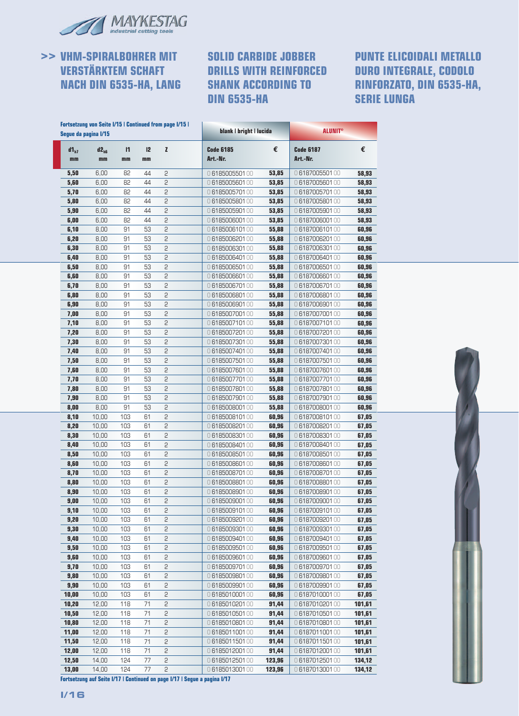

# **>> VHM-SPIRALBOHRER MIT VERSTÄRKTEM SCHAFT NACH DIN 6535-HA, LANG**

### **SOLID CARBIDE JOBBER DRILLS WITH REINFORCED SHANK ACCORDING TO DIN 6535-HA**

### **PUNTE ELICOIDALI METALLO DURO INTEGRALE, CODOLO RINFORZATO, DIN 6535-HA, SERIE LUNGA**

|                 |                 |                    |          |              | blank   bright   lucida      |        |                              |        |
|-----------------|-----------------|--------------------|----------|--------------|------------------------------|--------|------------------------------|--------|
| $d1_{h7}$<br>mm | $d2_{h6}$<br>mm | $\mathsf{I}$<br>mm | 12<br>mm | $\mathbf{z}$ | <b>Code 6185</b><br>Art.-Nr. | €      | <b>Code 6187</b><br>Art.-Nr. | €      |
| 5,50            | 6,00            | 82                 | 44       | 2            | 0618500550100                | 53,85  | 0618700550100                | 58,93  |
| 5,60            | 6,00            | 82                 | 44       | 2            | 0618500560100                | 53,85  | 0618700560100                | 58,93  |
| 5,70            | 6,00            | 82                 | 44       | 2            | 0618500570100                | 53,85  | 0618700570100                | 58,93  |
| 5,80            | 6,00            | 82                 | 44       | 2            | 0618500580100                | 53,85  | 0618700580100                | 58,93  |
| 5,90            | 6,00            | 82                 | 44       | 2            | 0618500590100                | 53,85  | 0618700590100                | 58,93  |
| 6,00            | 6,00            | 82                 | 44       | 2            | 0618500600100                | 53,85  | 0618700600100                | 58,93  |
| 6,10            | 8,00            | 91                 | 53       | 2            | 0618500610100                | 55,88  | 0 618700610100               | 60,96  |
| 6,20            | 8,00            | 91                 | 53       | 2            | 0618500620100                | 55,88  | 0618700620100                | 60,96  |
| 6,30            | 8,00            | 91                 | 53       | 2            | 0618500630100                | 55,88  | 0618700630100                | 60,96  |
| 6,40            | 8,00            | 91                 | 53       | 2            | 0618500640100                | 55,88  | 0618700640100                | 60,96  |
| 6,50            | 8,00            | 91                 | 53       | 2            | 0618500650100                | 55,88  | 0618700650100                | 60,96  |
| 6,60            | 8,00            | 91                 | 53       | 2            | 0618500660100                | 55,88  | 0618700660100                | 60,96  |
| 6,70            | 8,00            | 91                 | 53       | 2            | 0 6185006701 00              | 55,88  | 0 618700670100               | 60,96  |
| 6,80            | 8,00            | 91                 | 53       | 2            | 0618500680100                | 55,88  | 0618700680100                | 60,96  |
| 6,90            | 8,00            | 91                 | 53       | 2            | 0618500690100                | 55,88  | 0618700690100                | 60,96  |
| 7,00            | 8,00            | 91                 | 53       | 2            | 0618500700100                | 55,88  | 0618700700100                | 60,96  |
|                 |                 |                    |          | 2            | 0618500710100                |        |                              |        |
| 7,10            | 8,00            | 91                 | 53       |              |                              | 55,88  | 0618700710100                | 60,96  |
| 7,20            | 8,00            | 91                 | 53       | 2            | 0618500720100                | 55,88  | 0618700720100                | 60,96  |
| 7,30            | 8,00            | 91                 | 53       | 2            | 0618500730100                | 55,88  | 0618700730100                | 60,96  |
| 7,40            | 8,00            | 91                 | 53       | 2            | 0618500740100                | 55,88  | 0618700740100                | 60,96  |
| 7,50            | 8,00            | 91                 | 53       | 2            | 0618500750100                | 55,88  | 0618700750100                | 60,96  |
| 7,60            | 8,00            | 91                 | 53       | 2            | 0618500760100                | 55,88  | 0618700760100                | 60,96  |
| 7,70            | 8,00            | 91                 | 53       | 2            | 0618500770100                | 55,88  | 0618700770100                | 60,96  |
| 7,80            | 8,00            | 91                 | 53       | 2            | 0618500780100                | 55,88  | 0618700780100                | 60,96  |
| 7,90            | 8,00            | 91                 | 53       | 2            | 0618500790100                | 55,88  | 0 6187007901 00              | 60,96  |
| 8,00            | 8,00            | 91                 | 53       | 2            | 0618500800100                | 55,88  | 0618700800100                | 60,96  |
| 8,10            | 10,00           | 103                | 61       | 2            | 0618500810100                | 60,96  | 0618700810100                | 67,05  |
| 8,20            | 10,00           | 103                | 61       | 2            | 0618500820100                | 60,96  | 0618700820100                | 67,05  |
| 8,30            | 10,00           | 103                | 61       | 2            | 0618500830100                | 60,96  | 0618700830100                | 67,05  |
| 8,40            | 10,00           | 103                | 61       | 2            | 0618500840100                | 60,96  | 0618700840100                | 67,05  |
| 8,50            | 10,00           | 103                | 61       | 2            | 0618500850100                | 60,96  | 0 618700850100               | 67,05  |
| 8,60            | 10,00           | 103                | 61       | 5            | 0618500860100                | 60,96  | 0618700860100                | 67,05  |
| 8,70            | 10,00           | 103                | 61       | 2            | 0618500870100                | 60,96  | 0618700870100                | 67,05  |
| 8,80            | 10,00           | 103                | 61       | 2            | 0618500880100                | 60,96  | 0618700880100                | 67,05  |
| 8,90            | 10,00           | 103                | 61       | 2            | 0618500890100                | 60,96  | 0618700890100                | 67,05  |
| 9,00            | 10,00           | 103                | 61       | 2            | 0618500900100                | 60,96  | 0618700900100                | 67,05  |
| 9,10            | 10,00           | 103                | 61       | 2            | 0618500910100                | 60,96  | 0618700910100                | 67,05  |
| 9,20            | 10,00           | 103                | 61       | 2            | 0618500920100                | 60,96  | 0618700920100                | 67,05  |
| 9,30            | 10,00           | 103                | 61       | 2            | 0618500930100                | 60,96  | 0618700930100                | 67,05  |
| 9,40            | 10,00           | 103                | 61       | 2            | 0618500940100                | 60,96  | 0618700940100                | 67,05  |
| 9,50            | 10,00           | 103                | 61       | 2            | 0618500950100                | 60,96  | 0618700950100                | 67,05  |
| 9,60            | 10,00           | 103                | 61       | 2            | 0618500960100                | 60,96  | 0618700960100                | 67,05  |
|                 |                 | 103                |          |              |                              |        |                              |        |
| 9,70            | 10,00           |                    | 61       | 2            | 0 6185009701 00              | 60,96  | 0618700970100                | 67,05  |
| 9,80            | 10,00           | 103                | 61       | 2            | 0618500980100                | 60,96  | 0618700980100                | 67,05  |
| 9,90            | 10,00           | 103                | 61       | 2            | 0 6185009901 00              | 60,96  | 0618700990100                | 67,05  |
| 10,00           | 10,00           | 103                | 61       | 2            | 0618501000100                | 60,96  | 0618701000100                | 67,05  |
| 10,20           | 12,00           | 118                | 71       | 2            | 0618501020100                | 91,44  | 0618701020100                | 101,61 |
| 10,50           | 12,00           | 118                | 71       | 2            | 0618501050100                | 91,44  | 0618701050100                | 101,61 |
| 10,80           | 12,00           | 118                | 71       | 2            | 0618501080100                | 91,44  | 0618701080100                | 101,61 |
| 11,00           | 12,00           | 118                | 71       | 2            | 0618501100100                | 91,44  | 0618701100100                | 101,61 |
| 11,50           | 12,00           | 118                | 71       | 2            | 0618501150100                | 91,44  | 0618701150100                | 101,61 |
| 12,00           | 12,00           | 118                | 71       | 2            | 0618501200100                | 91,44  | 0618701200100                | 101,61 |
| 12,50           | 14,00           | 124                | 77       | 2            | 0618501250100                | 123,96 | 0618701250100                | 134,12 |
| 13,00           | 14,00           | 124                | 77       | 2            | 0618501300100                | 123,96 | 0618701300100                | 134,12 |



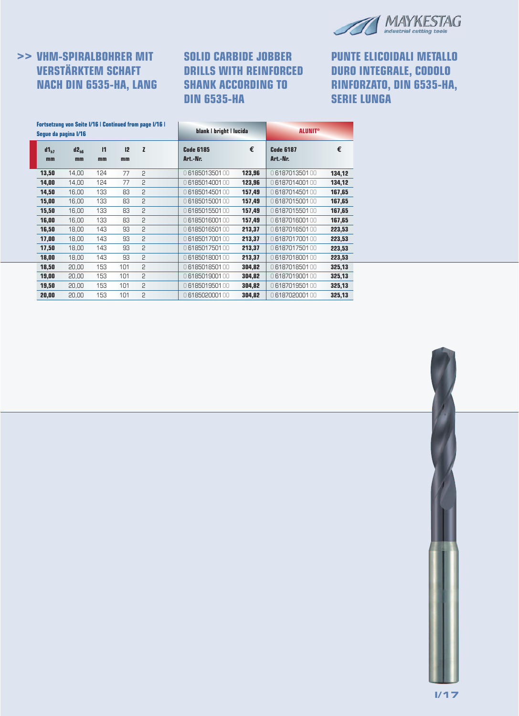

# **>> VHM-SPIRALBOHRER MIT VERSTÄRKTEM SCHAFT NACH DIN 6535-HA, LANG**

# **SOLID CARBIDE JOBBER DRILLS WITH REINFORCED SHANK ACCORDING TO DIN 6535-HA**

**PUNTE ELICOIDALI METALLO DURO INTEGRALE, CODOLO RINFORZATO, DIN 6535-HA, SERIE LUNGA**

|                 | <b>Fortsetzung von Seite I/16   Continued from page I/16  </b><br>Seque da pagina I/16 |                    |          |                | blank   bright   lucida      |        | <b>ALUNIT<sup>®</sup></b>    |        |
|-----------------|----------------------------------------------------------------------------------------|--------------------|----------|----------------|------------------------------|--------|------------------------------|--------|
| $d1_{h7}$<br>mm | $d2_{\text{hs}}$<br>mm                                                                 | $\mathsf{I}$<br>mm | 12<br>mm | Z              | <b>Code 6185</b><br>Art.-Nr. | €      | <b>Code 6187</b><br>Art.-Nr. | €      |
| 13,50           | 14,00                                                                                  | 124                | 77       | $\overline{c}$ | 0618501350100                | 123,96 | 0618701350100                | 134,12 |
| 14,00           | 14,00                                                                                  | 124                | 77       | 2              | 0618501400100                | 123.96 | 0618701400100                | 134.12 |
| 14,50           | 16,00                                                                                  | 133                | 83       | 2              | 0618501450100                | 157,49 | 0618701450100                | 167,65 |
| 15,00           | 16,00                                                                                  | 133                | 83       | 2              | 0618501500100                | 157,49 | 0618701500100                | 167,65 |
| 15,50           | 16,00                                                                                  | 133                | 83       | 2              | 0618501550100                | 157,49 | 0618701550100                | 167,65 |
| 16,00           | 16,00                                                                                  | 133                | 83       | 2              | 0618501600100                | 157,49 | 0618701600100                | 167,65 |
| 16,50           | 18,00                                                                                  | 143                | 93       | 2              | 0618501650100                | 213,37 | 0618701650100                | 223,53 |
| 17,00           | 18,00                                                                                  | 143                | 93       | 2              | 0618501700100                | 213,37 | 0618701700100                | 223,53 |
| 17,50           | 18,00                                                                                  | 143                | 93       | 2              | 0618501750100                | 213,37 | 0618701750100                | 223,53 |
| 18,00           | 18,00                                                                                  | 143                | 93       | 2              | 0618501800100                | 213,37 | 0618701800100                | 223,53 |
| 18,50           | 20,00                                                                                  | 153                | 101      | 2              | 0618501850100                | 304,82 | 0618701850100                | 325,13 |
| 19,00           | 20,00                                                                                  | 153                | 101      | 2              | 0618501900100                | 304,82 | 0618701900100                | 325,13 |
| 19,50           | 20,00                                                                                  | 153                | 101      | 2              | 0 6185019501 00              | 304,82 | 0618701950100                | 325,13 |
| 20,00           | 20,00                                                                                  | 153                | 101      | 2              | 0618502000100                | 304,82 | 0618702000100                | 325,13 |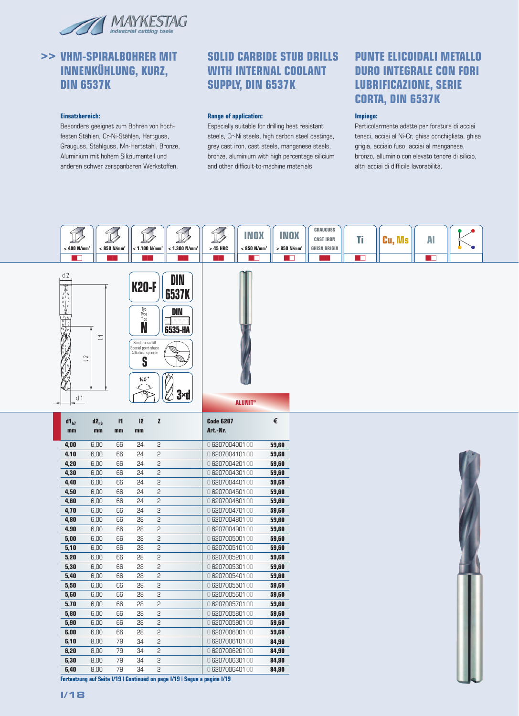

### **>> VHM-SPIRALBOHRER MIT INNENKÜHLUNG, KURZ, DIN 6537K**

#### **Einsatzbereich:**

Besonders geeignet zum Bohren von hochfesten Stählen, Cr-Ni-Stählen, Hartguss, Grauguss, Stahlguss, Mn-Hartstahl, Bronze, Aluminium mit hohem Siliziumanteil und anderen schwer zerspanbaren Werkstoffen.

### **SOLID CARBIDE STUB DRILLS WITH INTERNAL COOLANT SUPPLY, DIN 6537K**

#### **Range of application:**

Especially suitable for drilling heat resistant steels, Cr-Ni steels, high carbon steel castings, grey cast iron, cast steels, manganese steels, bronze, aluminium with high percentage silicium and other difficult-to-machine materials.

### **PUNTE ELICOIDALI METALLO DURO INTEGRALE CON FORI LUBRIFICAZIONE, SERIE CORTA, DIN 6537K**

#### **Impiego:**

Particolarmente adatte per foratura di acciai tenaci, acciai al Ni-Cr, ghisa conchigliata, ghisa grigia, acciaio fuso, acciai al manganese, bronzo, alluminio con elevato tenore di silicio, altri acciai di difficile lavorabilità.





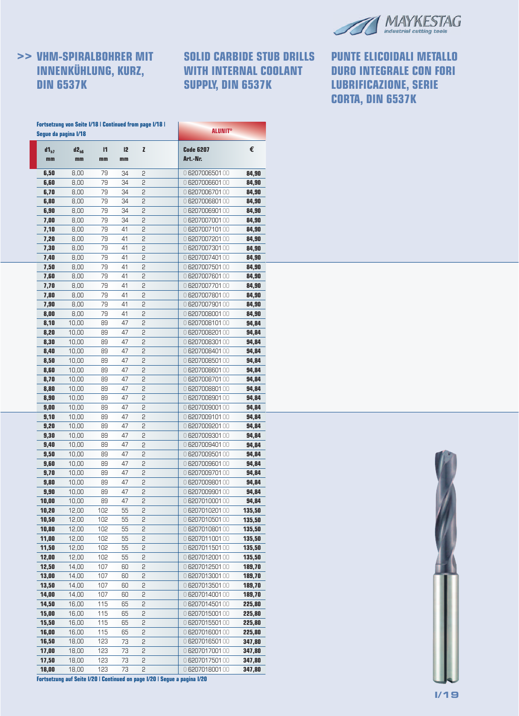

# **>> VHM-SPIRALBOHRER MIT INNENKÜHLUNG, KURZ, DIN 6537K**

# **SOLID CARBIDE STUB DRILLS WITH INTERNAL COOLANT SUPPLY, DIN 6537K**

**PUNTE ELICOIDALI METALLO DURO INTEGRALE CON FORI LUBRIFICAZIONE, SERIE CORTA, DIN 6537K**

|                 | <b>Fortsetzung von Seite I/18   Continued from page I/18  </b><br>Segue da pagina I/18 |                    | <b>ALUNIT®</b> |        |                                    |                  |  |  |
|-----------------|----------------------------------------------------------------------------------------|--------------------|----------------|--------|------------------------------------|------------------|--|--|
| $d1_{h7}$<br>mm | $d2_{h6}$<br>mm                                                                        | $\mathbf{I}$<br>mm | 12<br>mm       | z      | <b>Code 6207</b><br>Art.-Nr.       | €                |  |  |
| 6,50            | 8,00                                                                                   | 79                 | 34             | 2      | 0620700650100                      | 84,90            |  |  |
| 6,60            | 8,00                                                                                   | 79                 | 34             | 2      | 0 6207006601 00                    | 84,90            |  |  |
| 6,70            | 8,00                                                                                   | 79                 | 34             | 5      | 0 6207006701 00                    | 84,90            |  |  |
| 6,80            | 8,00                                                                                   | 79                 | 34             | 5      | 0 6207006801 00                    | 84,90            |  |  |
| 6,90            | 8,00                                                                                   | 79                 | 34             | 5      | 0 6207006901 00                    | 84,90            |  |  |
| 7,00            | 8,00                                                                                   | 79                 | 34             | 2      | 0 6207007001 00                    | 84,90            |  |  |
| 7,10            | 8,00                                                                                   | 79                 | 41             | 2      | 0 620700710100                     | 84,90            |  |  |
| 7,20            | 8,00                                                                                   | 79                 | 41             | 2      | 0 6207007201 00                    | 84,90            |  |  |
| 7,30            | 8,00                                                                                   | 79                 | 41             | 5      | 0 6207007301 00                    | 84,90            |  |  |
| 7,40            | 8,00                                                                                   | 79                 | 41             | 5      | 0 6207007401 00                    | 84,90            |  |  |
| 7,50            | 8,00                                                                                   | 79                 | 41             | 5      | 0 6207007501 00                    | 84,90            |  |  |
| 7,60            | 8,00                                                                                   | 79                 | 41             | 2<br>2 | 0 6207007601 00                    | 84,90            |  |  |
| 7,70            | 8,00                                                                                   | 79                 | 41             |        | 0 6207007701 00                    | 84,90            |  |  |
| 7,80            | 8,00                                                                                   | 79<br>79           | 41<br>41       | 2<br>5 | 0 6207007801 00                    | 84,90            |  |  |
| 7,90<br>8,00    | 8,00                                                                                   | 79                 | 41             | 5      | 0 6207007901 00<br>0 6207008001 00 | 84,90            |  |  |
| 8,10            | 8,00<br>10,00                                                                          | 89                 | 47             | 5      | 0 6207008101 00                    | 84,90<br>94,84   |  |  |
| 8,20            | 10,00                                                                                  | 89                 | 47             | 2      | 0 6207008201 00                    | 94,84            |  |  |
| 8,30            | 10,00                                                                                  | 89                 | 47             | 2      | 0 6207008301 00                    | 94,84            |  |  |
| 8,40            | 10,00                                                                                  | 89                 | 47             | 2      | 0620700840100                      | 94,84            |  |  |
| 8,50            | 10,00                                                                                  | 89                 | 47             | 5      | 0 6207008501 00                    | 94,84            |  |  |
| 8,60            | 10,00                                                                                  | 89                 | 47             | 5      | 0 6207008601 00                    | 94,84            |  |  |
| 8,70            | 10,00                                                                                  | 89                 | 47             | 5      | 0 6207008701 00                    | 94,84            |  |  |
| 8,80            | 10,00                                                                                  | 89                 | 47             | 2      | 0 6207008801 00                    | 94,84            |  |  |
| 8,90            | 10,00                                                                                  | 89                 | 47             | 2      | 0 6207008901 00                    | 94,84            |  |  |
| 9,00            | 10,00                                                                                  | 89                 | 47             | 2      | 0 6207009001 00                    | 94,84            |  |  |
| 9,10            | 10,00                                                                                  | 89                 | 47             | 5      | 0620700910100                      | 94,84            |  |  |
| 9,20            | 10,00                                                                                  | 89                 | 47             | 5      | 0 6207009201 00                    | 94,84            |  |  |
| 9,30            | 10,00                                                                                  | 89                 | 47             | 5      | 0 6207009301 00                    | 94,84            |  |  |
| 9,40            | 10,00                                                                                  | 89                 | 47             | 2      | 0 6207009401 00                    | 94,84            |  |  |
| 9,50            | 10,00                                                                                  | 89                 | 47             | 2      | 0 6207009501 00                    | 94,84            |  |  |
| 9,60            | 10,00                                                                                  | 89                 | 47             | 2      | 0 6207009601 00                    | 94,84            |  |  |
| 9,70            | 10,00                                                                                  | 89                 | 47             | 5      | 0 6207009701 00                    | 94,84            |  |  |
| 9,80            | 10,00                                                                                  | 89                 | 47             | 2      | 0 6207009801 00                    | 94,84            |  |  |
| 9,90            | 10,00                                                                                  | 89                 | 47             | 5      | 0 6207009901 00                    | 94,84            |  |  |
| 10,00           | 10,00                                                                                  | 89                 | 47             | 2      | 0620701000100                      | 94,84            |  |  |
| 10,20           | 12,00                                                                                  | 102                | 55             | 2      | 0 6207010201 00                    | 135,50           |  |  |
| 10,50           | 12,00                                                                                  | 102                | 55<br>55       | 2<br>5 | 0 6207010501 00                    | 135,50           |  |  |
| 10,80<br>11,00  | 12,00                                                                                  | 102<br>102         |                |        | 0 6207010801 00<br>0 620701100100  | 135,50<br>135,50 |  |  |
| 11,50           | 12,00<br>12,00                                                                         | 102                | 55<br>55       | 2<br>2 | 0 6207011501 00                    | 135,50           |  |  |
| 12,00           | 12,00                                                                                  | 102                | 55             | 2      | 0 6207012001 00                    | 135,50           |  |  |
| 12,50           | 14,00                                                                                  | 107                | 60             | 2      | 0 6207012501 00                    | 189,70           |  |  |
| 13,00           | 14,00                                                                                  | 107                | 60             | 2      | 0620701300100                      | 189,70           |  |  |
| 13,50           | 14,00                                                                                  | 107                | 60             | 5      | 0 6207013501 00                    | 189,70           |  |  |
| 14,00           | 14,00                                                                                  | 107                | 60             | 2      | 0 6207014001 00                    | 189,70           |  |  |
| 14,50           | 16,00                                                                                  | 115                | 65             | 2      | 0 6207014501 00                    | 225,80           |  |  |
| 15,00           | 16,00                                                                                  | 115                | 65             | 2      | 0 6207015001 00                    | 225,80           |  |  |
| 15,50           | 16,00                                                                                  | 115                | 65             | 2      | 0 6207015501 00                    | 225,80           |  |  |
| 16,00           | 16,00                                                                                  | 115                | 65             | 2      | 0 6207016001 00                    | 225,80           |  |  |
| 16,50           | 18,00                                                                                  | 123                | 73             | 5      | 0 6207016501 00                    | 347,80           |  |  |
| 17,00           | 18,00                                                                                  | 123                | 73             | 2      | 0 6207017001 00                    | 347,80           |  |  |
| 17,50           | 18,00                                                                                  | 123                | 73             | 2      | 0 6207017501 00                    | 347,80           |  |  |
| 18,00           | 18,00                                                                                  | 123                | 73             | 5      | 0 6207018001 00                    | 347,80           |  |  |

**Fortsetzung auf Seite I/20 | Continued on page I/20 | Segue a pagina I/20**

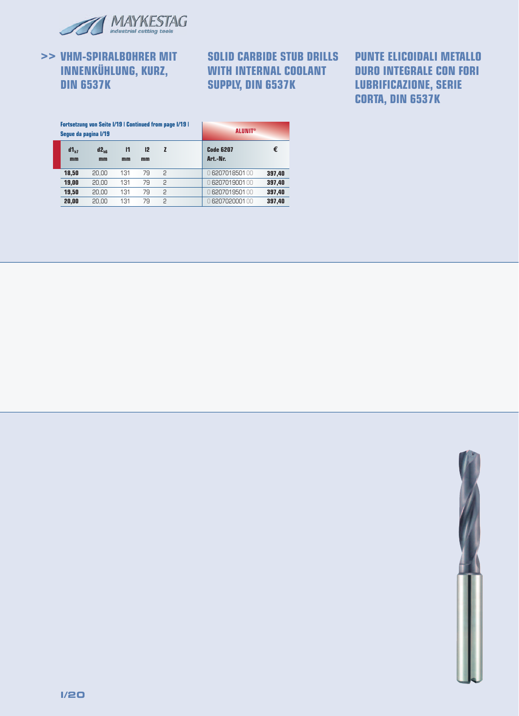

## **>> VHM-SPIRALBOHRER MIT INNENKÜHLUNG, KURZ, DIN 6537K**

**SOLID CARBIDE STUB DRILLS WITH INTERNAL COOLANT SUPPLY, DIN 6537K**

# **PUNTE ELICOIDALI METALLO DURO INTEGRALE CON FORI LUBRIFICAZIONE, SERIE CORTA, DIN 6537K**

|                 | <b>Fortsetzung von Seite I/19   Continued from page I/19  </b><br>Seque da pagina I/19 |                    | <b>ALUNIT®</b> |                |                              |        |  |  |
|-----------------|----------------------------------------------------------------------------------------|--------------------|----------------|----------------|------------------------------|--------|--|--|
| $d1_{h7}$<br>mm | $d2_{\text{hs}}$<br>mm                                                                 | $\mathbf{I}$<br>mm | 12<br>mm       | z              | <b>Code 6207</b><br>Art.-Nr. | €      |  |  |
| 18,50           | 20.00                                                                                  | 131                | 79             | P              | 0620701850100                | 397,40 |  |  |
| 19,00           | 20.00                                                                                  | 131                | 79             | $\overline{c}$ | 0 6207019001 00              | 397,40 |  |  |
| 19.50           | 20.00                                                                                  | 131                | 79             | $\mathcal{P}$  | 0 6207019501 00              | 397,40 |  |  |
| 20,00           | 20.00                                                                                  | 131                | 79             | 2              | 0 6207020001 00              | 397.40 |  |  |

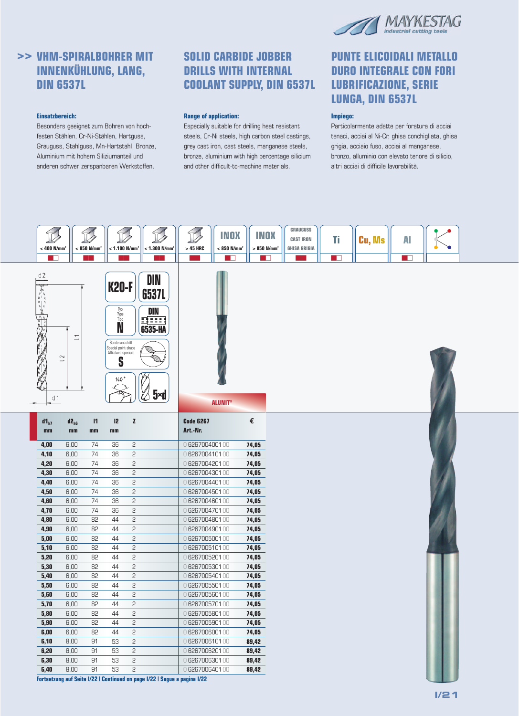

# **>> VHM-SPIRALBOHRER MIT INNENKÜHLUNG, LANG, DIN 6537L**

#### **Einsatzbereich:**

Besonders geeignet zum Bohren von hochfesten Stählen, Cr-Ni-Stählen, Hartguss, Grauguss, Stahlguss, Mn-Hartstahl, Bronze, Aluminium mit hohem Siliziumanteil und anderen schwer zerspanbaren Werkstoffen.

### **SOLID CARBIDE JOBBER DRILLS WITH INTERNAL COOLANT SUPPLY, DIN 6537L**

#### **Range of application:**

Especially suitable for drilling heat resistant steels, Cr-Ni steels, high carbon steel castings, grey cast iron, cast steels, manganese steels, bronze, aluminium with high percentage silicium and other difficult-to-machine materials.

### **PUNTE ELICOIDALI METALLO DURO INTEGRALE CON FORI LUBRIFICAZIONE, SERIE LUNGA, DIN 6537L**

#### **Impiego:**

Particolarmente adatte per foratura di acciai tenaci, acciai al Ni-Cr, ghisa conchigliata, ghisa grigia, acciaio fuso, acciai al manganese, bronzo, alluminio con elevato tenore di silicio, altri acciai di difficile lavorabilità.



**Fortsetzung auf Seite I/22 | Continued on page I/22 | Segue a pagina I/22**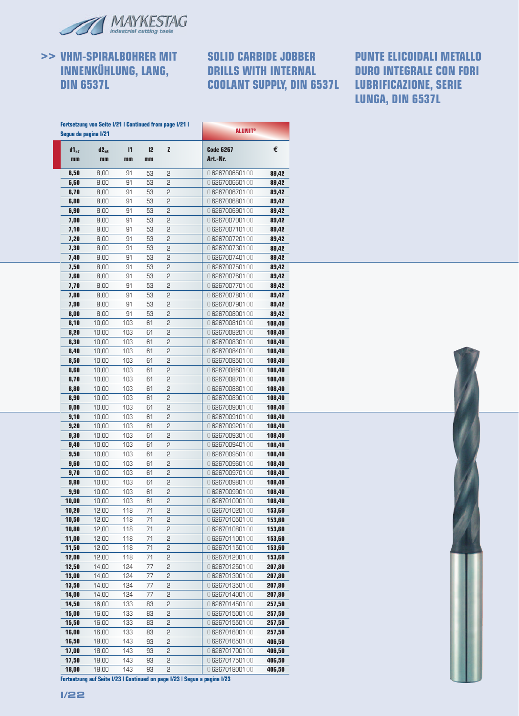

**>> VHM-SPIRALBOHRER MIT INNENKÜHLUNG, LANG, DIN 6537L**

### **SOLID CARBIDE JOBBER DRILLS WITH INTERNAL COOLANT SUPPLY, DIN 6537L LUBRIFICAZIONE, SERIE**

# **PUNTE ELICOIDALI METALLO DURO INTEGRALE CON FORI LUNGA, DIN 6537L**

|                 | Segue da pagina I/21   |                    |                      | <b>Fortsetzung von Seite I/21   Continued from page I/21  </b> | <b>ALUNIT®</b>               |        |  |  |  |
|-----------------|------------------------|--------------------|----------------------|----------------------------------------------------------------|------------------------------|--------|--|--|--|
| $d1_{h7}$<br>mm | d2 <sub>h6</sub><br>mm | $\mathbf{I}$<br>mm | I <sub>2</sub><br>mm | z                                                              | <b>Code 6267</b><br>Art.-Nr. | €      |  |  |  |
| 6,50            | 8,00                   | 91                 | 53                   | 2                                                              | 0 626700650100               | 89,42  |  |  |  |
| 6,60            | 8,00                   | 91                 | 53                   | 5                                                              | 0 626700660100               | 89,42  |  |  |  |
| 6,70            | 8,00                   | 91                 | 53                   | 2                                                              | 0 6267006701 00              | 89,42  |  |  |  |
| 6,80            | 8,00                   | 91                 | 53                   | 2                                                              | 0 626700680100               | 89,42  |  |  |  |
| 6,90            | 8,00                   | 91                 | 53                   | 2                                                              | 0 6267006901 00              | 89,42  |  |  |  |
| 7,00            | 8,00                   | 91                 | 53                   | 2                                                              | 0 626700700100               | 89,42  |  |  |  |
| 7,10            | 8,00                   | 91                 | 53                   | 2                                                              | 0 626700710100               | 89,42  |  |  |  |
| 7,20            | 8,00                   | 91                 | 53                   | 5                                                              | 0 6267007201 00              | 89,42  |  |  |  |
| 7,30            | 8,00                   | 91                 | 53                   | 2                                                              | 0 6267007301 00              | 89,42  |  |  |  |
| 7,40            | 8,00                   | 91                 | 53                   | 2                                                              | 0 6267007401 00              | 89,42  |  |  |  |
| 7,50            | 8,00                   | 91                 | 53                   | 2                                                              | 0 6267007501 00              | 89,42  |  |  |  |
| 7,60            | 8,00                   | 91                 | 53                   | 5                                                              | 0 626700760100               | 89,42  |  |  |  |
| 7,70            | 8,00                   | 91                 | 53                   | 2                                                              | 0 6267007701 00              | 89,42  |  |  |  |
| 7,80            | 8,00                   | 91                 | 53                   | 5                                                              | 0 626700780100               | 89,42  |  |  |  |
| 7,90            | 8,00                   | 91                 | 53                   | 2                                                              | 0 6267007901 00              | 89,42  |  |  |  |
| 8,00            | 8,00                   | 91                 | 53                   | 2                                                              | 0 626700800100               | 89,42  |  |  |  |
| 8,10            | 10,00                  | 103                | 61                   | 5                                                              | 0 626700810100               | 108,40 |  |  |  |
| 8,20            | 10,00                  | 103                | 61                   | 2                                                              | 0 626700820100               | 108,40 |  |  |  |
| 8,30            | 10,00                  | 103                | 61                   | 2                                                              | 0 626700830100               | 108,40 |  |  |  |
| 8,40            | 10,00                  | 103                | 61                   | 5                                                              | 0 626700840100               | 108,40 |  |  |  |
| 8,50            | 10,00                  | 103                | 61                   | 2                                                              | 0 626700850100               | 108,40 |  |  |  |
| 8,60            | 10,00                  | 103                | 61                   | 2                                                              | 0 626700860100               | 108,40 |  |  |  |
| 8,70            | 10,00                  | 103                | 61                   | 2                                                              | 0 6267008701 00              | 108,40 |  |  |  |
| 8,80            | 10,00                  | 103                | 61                   | 5                                                              | 0 626700880100               | 108,40 |  |  |  |
| 8,90            | 10,00                  | 103                | 61                   | 2                                                              | 0 626700890100               | 108,40 |  |  |  |
| 9,00            | 10,00                  | 103                | 61                   | 5                                                              | 0 626700900100               | 108,40 |  |  |  |
| 9,10            | 10,00                  | 103                | 61                   | 2                                                              | 0 626700910100               | 108,40 |  |  |  |
| 9,20            | 10,00                  | 103                | 61                   | 2                                                              | 0 626700920100               | 108,40 |  |  |  |
| 9,30            | 10,00                  | 103                | 61                   | 5                                                              | 0 626700930100               | 108,40 |  |  |  |
| 9,40            | 10,00                  | 103                | 61                   | 2                                                              | 0 626700940100               | 108,40 |  |  |  |
| 9,50            | 10,00                  | 103                | 61                   | 2                                                              | 0 626700950100               | 108,40 |  |  |  |
| 9,60            | 10,00                  | 103                | 61                   | 5                                                              | 0 626700960100               | 108,40 |  |  |  |
| 9,70            | 10,00                  | 103                | 61                   | 2                                                              | 0 626700970100               | 108,40 |  |  |  |
| 9,80            | 10,00                  | 103                | 61                   | 2                                                              | 0 626700980100               | 108,40 |  |  |  |
| 9,90            | 10,00                  | 103                | 61                   | 2                                                              | 0 6267009901 00              | 108,40 |  |  |  |
| 10,00           | 10,00                  | 103                | 61                   | 2                                                              | 0626701000100                | 108,40 |  |  |  |
| 10,20           | 12,00                  | 118                | 71                   | 2                                                              | 0 626701020100               | 153,60 |  |  |  |
| 10,50           | 12,00                  | 118                | 71                   | 2                                                              | 0 626701050100               | 153,60 |  |  |  |
| 10,80           | 12,00                  | 118                | 71                   | 5                                                              | 0 626701080100               | 153,60 |  |  |  |
| 11,00           | 12,00                  | 118                | 71                   | 2                                                              | 0626701100100                | 153,60 |  |  |  |
| 11,50           | 12,00                  | 118                | 71                   | 2                                                              | 0 626701150100               | 153,60 |  |  |  |
| 12,00           | 12,00                  | 118                | 71                   | 2                                                              | 0626701200100                | 153,60 |  |  |  |
| 12,50           | 14,00                  | 124                | 77                   | 2                                                              | 0 6267012501 00              | 207,80 |  |  |  |
| 13,00           | 14,00                  | 124                | 77                   | 2                                                              | 0 626701300100               | 207,80 |  |  |  |
| 13,50           | 14,00                  | 124                | 77                   | 2                                                              | 0 626701350100               | 207,80 |  |  |  |
| 14,00           | 14,00                  | 124                | 77                   | 2                                                              | 0 626701400100               | 207,80 |  |  |  |
| 14,50           | 16,00                  | 133                | 83                   | 2                                                              | 0 626701450100               | 257,50 |  |  |  |
| 15,00           | 16,00                  | 133                | 83                   | 2                                                              | 0 626701500100               | 257,50 |  |  |  |
| 15,50           | 16,00                  | 133                | 83                   | 2                                                              | 0 626701550100               | 257,50 |  |  |  |
| 16,00           | 16,00                  | 133                | 83                   | 2                                                              | 0 626701600100               | 257,50 |  |  |  |
| 16,50           | 18,00                  | 143                | 93                   | 5                                                              | 0 626701650100               | 406,50 |  |  |  |
| 17,00           | 18,00                  | 143                | 93                   | 2                                                              | 0 626701700100               | 406,50 |  |  |  |
| 17,50           | 18,00                  | 143                | 93                   | 2                                                              | 0 626701750100               | 406,50 |  |  |  |
| 18,00           | 18,00                  | 143                | 93                   | 2                                                              | 0 626701800100               | 406,50 |  |  |  |



**I/22**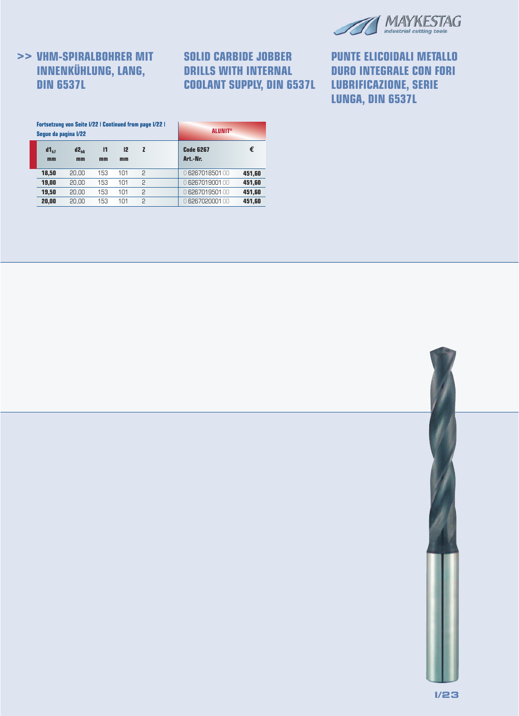

# **>> VHM-SPIRALBOHRER MIT INNENKÜHLUNG, LANG, DIN 6537L**

# **SOLID CARBIDE JOBBER DRILLS WITH INTERNAL COOLANT SUPPLY, DIN 6537L**

# **PUNTE ELICOIDALI METALLO DURO INTEGRALE CON FORI LUBRIFICAZIONE, SERIE LUNGA, DIN 6537L**

| Seque da pagina I/22 | <b>Fortsetzung von Seite I/22   Continued from page I/22  </b> |                    | <b>ALUNIT®</b> |   |                       |        |  |
|----------------------|----------------------------------------------------------------|--------------------|----------------|---|-----------------------|--------|--|
| $d1_{h7}$<br>mm      | $d2_{\text{hs}}$<br>mm                                         | $\mathbf{I}$<br>mm | 12<br>mm       | z | Code 6267<br>Art.-Nr. | €      |  |
| 18,50                | 20.00                                                          | 153                | 101            | 2 | 0 6267018501 00       | 451.60 |  |
| 19,00                | 20.00                                                          | 153                | 101            | 2 | 0 6267019001 00       | 451,60 |  |
| 19,50                | 20.00                                                          | 153                | 101            | 2 | 0 6267019501 00       | 451.60 |  |
| 20.00                | 20.00                                                          | 153                | 101            | 2 | 0 6267020001 00       | 451.60 |  |

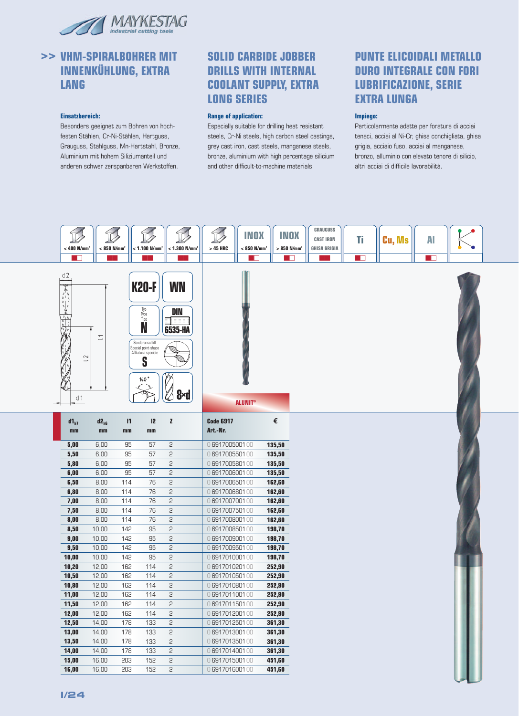

# **>> VHM-SPIRALBOHRER MIT INNENKÜHLUNG, EXTRA LANG**

#### **Einsatzbereich:**

Besonders geeignet zum Bohren von hochfesten Stählen, Cr-Ni-Stählen, Hartguss, Grauguss, Stahlguss, Mn-Hartstahl, Bronze, Aluminium mit hohem Siliziumanteil und anderen schwer zerspanbaren Werkstoffen.

### **SOLID CARBIDE JOBBER DRILLS WITH INTERNAL COOLANT SUPPLY, EXTRA LONG SERIES**

#### **Range of application:**

Especially suitable for drilling heat resistant steels, Cr-Ni steels, high carbon steel castings, grey cast iron, cast steels, manganese steels, bronze, aluminium with high percentage silicium and other difficult-to-machine materials.

### **PUNTE ELICOIDALI METALLO DURO INTEGRALE CON FORI LUBRIFICAZIONE, SERIE EXTRA LUNGA**

#### **Impiego:**

Particolarmente adatte per foratura di acciai tenaci, acciai al Ni-Cr, ghisa conchigliata, ghisa grigia, acciaio fuso, acciai al manganese, bronzo, alluminio con elevato tenore di silicio, altri acciai di difficile lavorabilità.

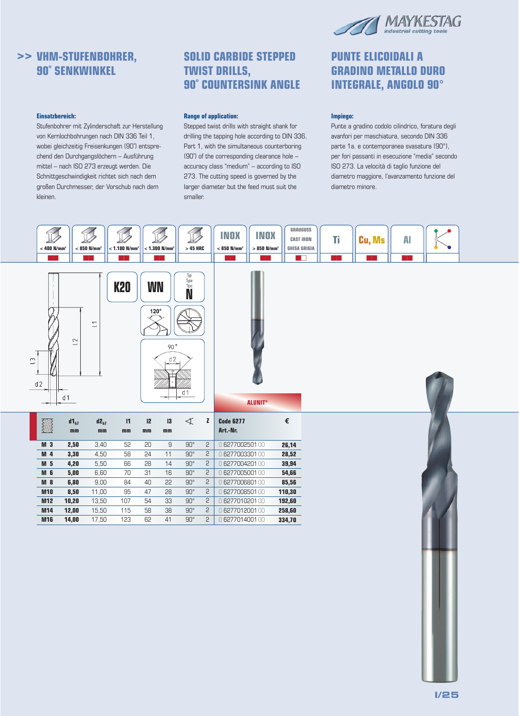

# **>> VHM-STUFENBOHRER, 90˚ SENKWINKEL**

#### **Einsatzbereich:**

Stufenbohrer mit Zylinderschaft zur Herstellung von Kernlochbohrungen nach DIN 336 Teil 1, wobei gleichzeitig Freisenkungen (90˚) entsprechend den Durchgangslöchern – Ausführung mittel – nach ISO 273 erzeugt werden. Die Schnittgeschwindigkeit richtet sich nach dem großen Durchmesser, der Vorschub nach dem kleinen.

### **SOLID CARBIDE STEPPED TWIST DRILLS, 90˚ COUNTERSINK ANGLE**

#### **Range of application:**

Stepped twist drills with straight shank for drilling the tapping hole according to DIN 336, Part 1, with the simultaneous counterboring (90°) of the corresponding clearance hole – accuracy class "medium" – according to ISO 273. The cutting speed is governed by the larger diameter but the feed must suit the smaller.

### **PUNTE ELICOIDALI A GRADINO METALLO DURO INTEGRALE, ANGOLO 90°**

#### **Impiego:**

Punte a gradino codolo cilindrico, foratura degli avanfori per maschiatura, secondo DIN 336 parte 1a. e contemporanea svasatura (90°), per fori passanti in esecuzione "media" secondo ISO 273. La velocità di taglio funzione del diametro maggiore, l'avanzamento funzione del diametro minore.

| $< 400$ N/mm <sup>2</sup>        |                                  | $< 850$ N/mm <sup>2</sup> | $<$ 1.100 N/mm <sup>2</sup> |                          | $< 1.300$ N/mm <sup>2</sup> | $>45$ HRC                                          |              | <b>INOX</b><br><b>INOX</b><br>$< 850$ N/mm <sup>2</sup><br>$>850$ N/mm <sup>2</sup> | <b>GRAUGUSS</b><br><b>CAST IRON</b><br><b>GHISA GRIGIA</b><br>$\blacksquare$ | Ti<br>т | Cu, Ms | AI |  |  |
|----------------------------------|----------------------------------|---------------------------|-----------------------------|--------------------------|-----------------------------|----------------------------------------------------|--------------|-------------------------------------------------------------------------------------|------------------------------------------------------------------------------|---------|--------|----|--|--|
| $\tilde{\Box}$<br>d2             | $\overline{2}$<br>d <sub>1</sub> | $\overline{\phantom{a}}$  | <b>K20</b>                  | <b>WN</b><br>$120^\circ$ | 90 $^{\circ}$<br>d2         | Typ<br>Type<br>Tip <u>o</u><br>N<br>d <sub>1</sub> |              | <b>ALUNIT<sup>®</sup></b>                                                           |                                                                              |         |        |    |  |  |
| é                                | $d1_{h7}$                        | $d2_{h7}$                 | $\mathbf{I}$                | 12                       | 13                          | $\prec$                                            | z            | <b>Code 6277</b>                                                                    | $\pmb{\epsilon}$                                                             |         |        |    |  |  |
|                                  | mm                               | mm                        | mm                          | mm                       | mm                          |                                                    |              | Art.-Nr.                                                                            |                                                                              |         |        |    |  |  |
|                                  |                                  |                           | 52                          |                          | 9                           | $90^\circ$                                         | 2            |                                                                                     |                                                                              |         |        |    |  |  |
| M <sub>3</sub><br>M <sub>4</sub> | 2,50<br>3,30                     | 3,40<br>4,50              | 58                          | 20<br>24                 | 11                          | $90^\circ$                                         | 2            | 0 627700250100<br>0 627700330100                                                    | 26,14                                                                        |         |        |    |  |  |
| M <sub>5</sub>                   | 4,20                             | 5,50                      | 66                          | 28                       | 14                          | $90^\circ$                                         | 2            | 0 627700420100                                                                      | 28,52<br>39,94                                                               |         |        |    |  |  |
| M <sub>6</sub>                   | 5,00                             | 6,60                      | 70                          | 31                       | 16                          | $90^{\circ}$                                       | 2            | 0 627700500100                                                                      | 54,66                                                                        |         |        |    |  |  |
| <b>M 8</b>                       | 6,80                             | 9,00                      | 84                          | 40                       | 22                          | $90^\circ$                                         | $\mathsf{S}$ | 0627700680100                                                                       | 85,56                                                                        |         |        |    |  |  |
| <b>M10</b>                       | 8,50                             | 11,00                     | 95                          | 47                       | 28                          | $90^\circ$                                         | 2            | 0 627700850100                                                                      | 110,30                                                                       |         |        |    |  |  |
| M <sub>12</sub>                  | 10,20                            | 13,50                     | 107                         | 54                       | 33                          | $90^\circ$                                         | 2            | 0 627701020100                                                                      | 192,60                                                                       |         |        |    |  |  |
| M14<br><b>M16</b>                | 12,00<br>14,00                   | 15,50<br>17,50            | 115<br>123                  | 58<br>62                 | $38\,$<br>41                | $90^\circ$<br>$90^\circ$                           | 2<br>2       | 0 627701200100<br>0627701400100                                                     | 258,60<br>334,70                                                             |         |        |    |  |  |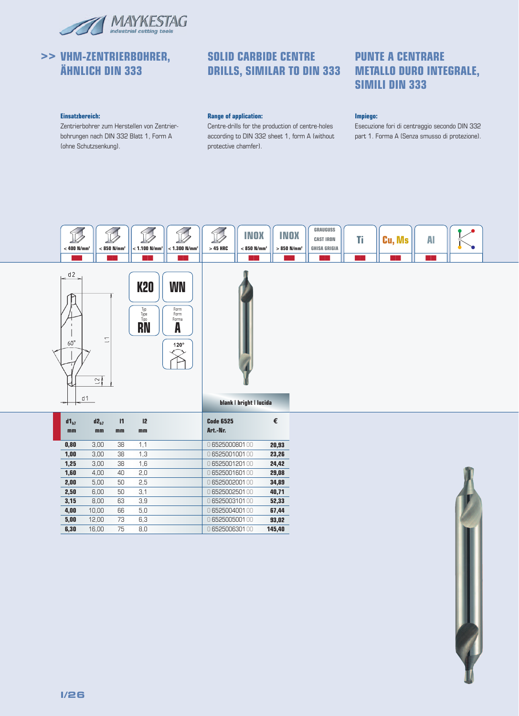

# **>> VHM-ZENTRIERBOHRER, ÄHNLICH DIN 333**

### **SOLID CARBIDE CENTRE DRILLS, SIMILAR TO DIN 333 METALLO DURO INTEGRALE,**

# **PUNTE A CENTRARE SIMILI DIN 333**

#### **Einsatzbereich:**

Zentrierbohrer zum Herstellen von Zentrierbohrungen nach DIN 332 Blatt 1, Form A (ohne Schutzsenkung).

#### **Range of application:**

Centre-drills for the production of centre-holes according to DIN 332 sheet 1, form A (without protective chamfer).

#### **Impiego:**

Esecuzione fori di centraggio secondo DIN 332 part 1. Forma A (Senza smusso di protezione).

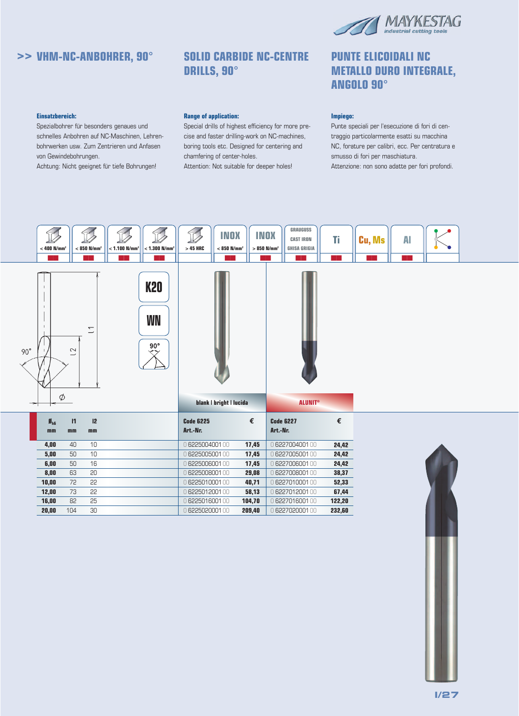

### **>> VHM-NC-ANBOHRER, 90° SOLID CARBIDE NC-CENTRE**

# **DRILLS, 90°**

#### **Einsatzbereich:**

Spezialbohrer für besonders genaues und schnelles Anbohren auf NC-Maschinen, Lehrenbohrwerken usw. Zum Zentrieren und Anfasen von Gewindebohrungen.

Achtung: Nicht geeignet für tiefe Bohrungen!

#### **Range of application:**

Special drills of highest efficiency for more precise and faster drilling-work on NC-machines, boring tools etc. Designed for centering and chamfering of center-holes.

Attention: Not suitable for deeper holes!

### **PUNTE ELICOIDALI NC METALLO DURO INTEGRALE, ANGOLO 90°**

#### **Impiego:**

Punte speciali per l'esecuzione di fori di centraggio particolarmente esatti su macchina NC, forature per calibri, ecc. Per centratura e smusso di fori per maschiatura. Attenzione: non sono adatte per fori profondi.